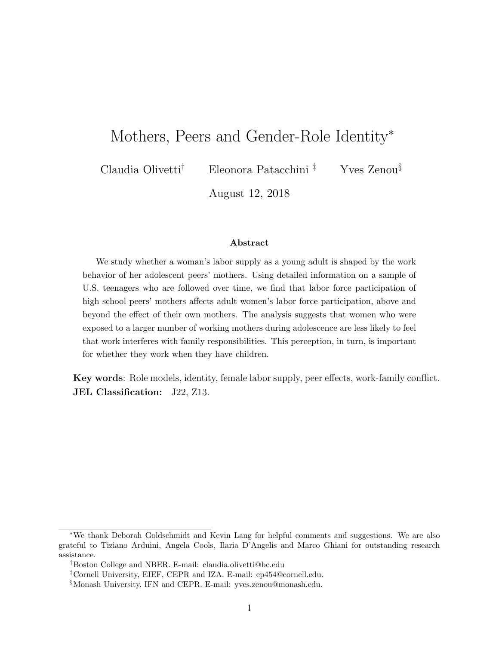# Mothers, Peers and Gender-Role Identity<sup>∗</sup>

Claudia Olivetti† Eleonora Patacchini ‡ Yves Zenou§

August 12, 2018

#### Abstract

We study whether a woman's labor supply as a young adult is shaped by the work behavior of her adolescent peers' mothers. Using detailed information on a sample of U.S. teenagers who are followed over time, we find that labor force participation of high school peers' mothers affects adult women's labor force participation, above and beyond the effect of their own mothers. The analysis suggests that women who were exposed to a larger number of working mothers during adolescence are less likely to feel that work interferes with family responsibilities. This perception, in turn, is important for whether they work when they have children.

Key words: Role models, identity, female labor supply, peer effects, work-family conflict. JEL Classification: J22, Z13.

<sup>∗</sup>We thank Deborah Goldschmidt and Kevin Lang for helpful comments and suggestions. We are also grateful to Tiziano Arduini, Angela Cools, Ilaria D'Angelis and Marco Ghiani for outstanding research assistance.

<sup>†</sup>Boston College and NBER. E-mail: claudia.olivetti@bc.edu

<sup>‡</sup>Cornell University, EIEF, CEPR and IZA. E-mail: ep454@cornell.edu.

<sup>§</sup>Monash University, IFN and CEPR. E-mail: yves.zenou@monash.edu.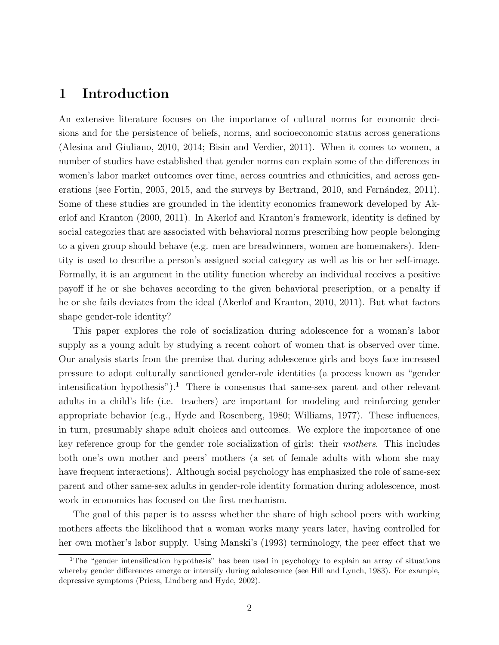# 1 Introduction

An extensive literature focuses on the importance of cultural norms for economic decisions and for the persistence of beliefs, norms, and socioeconomic status across generations (Alesina and Giuliano, 2010, 2014; Bisin and Verdier, 2011). When it comes to women, a number of studies have established that gender norms can explain some of the differences in women's labor market outcomes over time, across countries and ethnicities, and across generations (see Fortin, 2005, 2015, and the surveys by Bertrand, 2010, and Fernández, 2011). Some of these studies are grounded in the identity economics framework developed by Akerlof and Kranton (2000, 2011). In Akerlof and Kranton's framework, identity is defined by social categories that are associated with behavioral norms prescribing how people belonging to a given group should behave (e.g. men are breadwinners, women are homemakers). Identity is used to describe a person's assigned social category as well as his or her self-image. Formally, it is an argument in the utility function whereby an individual receives a positive payoff if he or she behaves according to the given behavioral prescription, or a penalty if he or she fails deviates from the ideal (Akerlof and Kranton, 2010, 2011). But what factors shape gender-role identity?

This paper explores the role of socialization during adolescence for a woman's labor supply as a young adult by studying a recent cohort of women that is observed over time. Our analysis starts from the premise that during adolescence girls and boys face increased pressure to adopt culturally sanctioned gender-role identities (a process known as "gender intensification hypothesis").<sup>1</sup> There is consensus that same-sex parent and other relevant adults in a child's life (i.e. teachers) are important for modeling and reinforcing gender appropriate behavior (e.g., Hyde and Rosenberg, 1980; Williams, 1977). These influences, in turn, presumably shape adult choices and outcomes. We explore the importance of one key reference group for the gender role socialization of girls: their mothers. This includes both one's own mother and peers' mothers (a set of female adults with whom she may have frequent interactions). Although social psychology has emphasized the role of same-sex parent and other same-sex adults in gender-role identity formation during adolescence, most work in economics has focused on the first mechanism.

The goal of this paper is to assess whether the share of high school peers with working mothers affects the likelihood that a woman works many years later, having controlled for her own mother's labor supply. Using Manski's (1993) terminology, the peer effect that we

<sup>1</sup>The "gender intensification hypothesis" has been used in psychology to explain an array of situations whereby gender differences emerge or intensify during adolescence (see Hill and Lynch, 1983). For example, depressive symptoms (Priess, Lindberg and Hyde, 2002).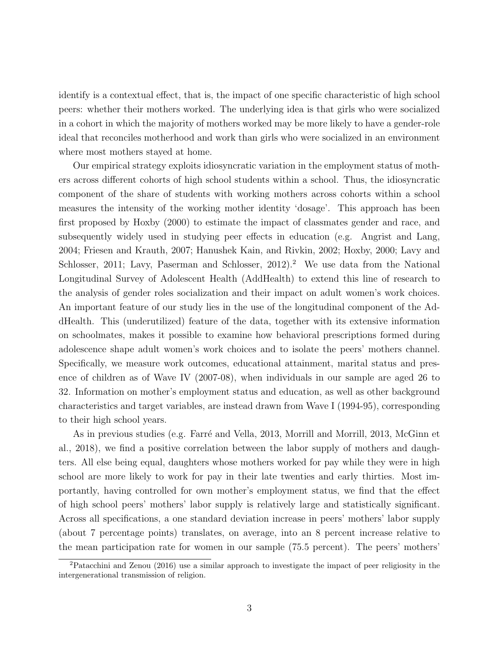identify is a contextual effect, that is, the impact of one specific characteristic of high school peers: whether their mothers worked. The underlying idea is that girls who were socialized in a cohort in which the majority of mothers worked may be more likely to have a gender-role ideal that reconciles motherhood and work than girls who were socialized in an environment where most mothers stayed at home.

Our empirical strategy exploits idiosyncratic variation in the employment status of mothers across different cohorts of high school students within a school. Thus, the idiosyncratic component of the share of students with working mothers across cohorts within a school measures the intensity of the working mother identity 'dosage'. This approach has been first proposed by Hoxby (2000) to estimate the impact of classmates gender and race, and subsequently widely used in studying peer effects in education (e.g. Angrist and Lang, 2004; Friesen and Krauth, 2007; Hanushek Kain, and Rivkin, 2002; Hoxby, 2000; Lavy and Schlosser, 2011; Lavy, Paserman and Schlosser,  $2012$ ).<sup>2</sup> We use data from the National Longitudinal Survey of Adolescent Health (AddHealth) to extend this line of research to the analysis of gender roles socialization and their impact on adult women's work choices. An important feature of our study lies in the use of the longitudinal component of the AddHealth. This (underutilized) feature of the data, together with its extensive information on schoolmates, makes it possible to examine how behavioral prescriptions formed during adolescence shape adult women's work choices and to isolate the peers' mothers channel. Specifically, we measure work outcomes, educational attainment, marital status and presence of children as of Wave IV (2007-08), when individuals in our sample are aged 26 to 32. Information on mother's employment status and education, as well as other background characteristics and target variables, are instead drawn from Wave I (1994-95), corresponding to their high school years.

As in previous studies (e.g. Farré and Vella, 2013, Morrill and Morrill, 2013, McGinn et al., 2018), we find a positive correlation between the labor supply of mothers and daughters. All else being equal, daughters whose mothers worked for pay while they were in high school are more likely to work for pay in their late twenties and early thirties. Most importantly, having controlled for own mother's employment status, we find that the effect of high school peers' mothers' labor supply is relatively large and statistically significant. Across all specifications, a one standard deviation increase in peers' mothers' labor supply (about 7 percentage points) translates, on average, into an 8 percent increase relative to the mean participation rate for women in our sample (75.5 percent). The peers' mothers'

<sup>2</sup>Patacchini and Zenou (2016) use a similar approach to investigate the impact of peer religiosity in the intergenerational transmission of religion.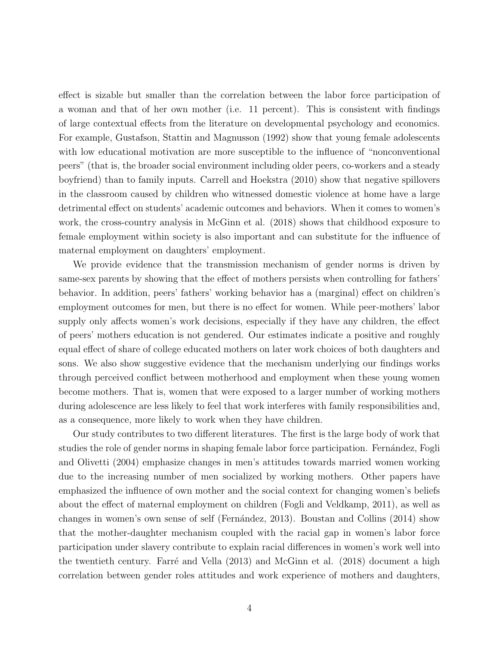effect is sizable but smaller than the correlation between the labor force participation of a woman and that of her own mother (i.e. 11 percent). This is consistent with findings of large contextual effects from the literature on developmental psychology and economics. For example, Gustafson, Stattin and Magnusson (1992) show that young female adolescents with low educational motivation are more susceptible to the influence of "nonconventional peers" (that is, the broader social environment including older peers, co-workers and a steady boyfriend) than to family inputs. Carrell and Hoekstra (2010) show that negative spillovers in the classroom caused by children who witnessed domestic violence at home have a large detrimental effect on students' academic outcomes and behaviors. When it comes to women's work, the cross-country analysis in McGinn et al. (2018) shows that childhood exposure to female employment within society is also important and can substitute for the influence of maternal employment on daughters' employment.

We provide evidence that the transmission mechanism of gender norms is driven by same-sex parents by showing that the effect of mothers persists when controlling for fathers' behavior. In addition, peers' fathers' working behavior has a (marginal) effect on children's employment outcomes for men, but there is no effect for women. While peer-mothers' labor supply only affects women's work decisions, especially if they have any children, the effect of peers' mothers education is not gendered. Our estimates indicate a positive and roughly equal effect of share of college educated mothers on later work choices of both daughters and sons. We also show suggestive evidence that the mechanism underlying our findings works through perceived conflict between motherhood and employment when these young women become mothers. That is, women that were exposed to a larger number of working mothers during adolescence are less likely to feel that work interferes with family responsibilities and, as a consequence, more likely to work when they have children.

Our study contributes to two different literatures. The first is the large body of work that studies the role of gender norms in shaping female labor force participation. Fernández, Fogli and Olivetti (2004) emphasize changes in men's attitudes towards married women working due to the increasing number of men socialized by working mothers. Other papers have emphasized the influence of own mother and the social context for changing women's beliefs about the effect of maternal employment on children (Fogli and Veldkamp, 2011), as well as changes in women's own sense of self (Fernández, 2013). Boustan and Collins (2014) show that the mother-daughter mechanism coupled with the racial gap in women's labor force participation under slavery contribute to explain racial differences in women's work well into the twentieth century. Farré and Vella  $(2013)$  and McGinn et al.  $(2018)$  document a high correlation between gender roles attitudes and work experience of mothers and daughters,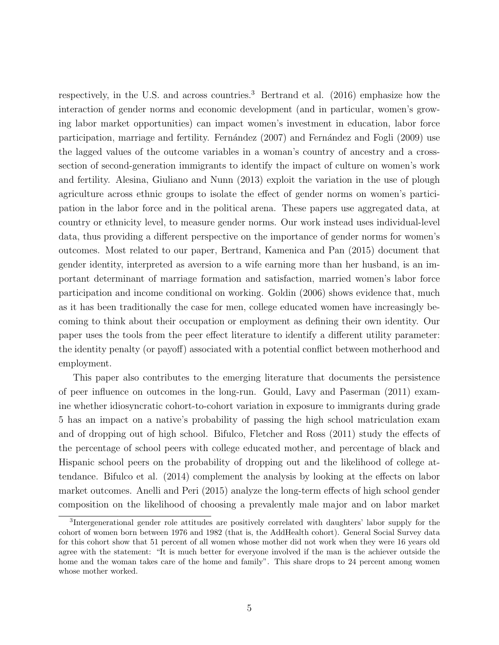respectively, in the U.S. and across countries.<sup>3</sup> Bertrand et al. (2016) emphasize how the interaction of gender norms and economic development (and in particular, women's growing labor market opportunities) can impact women's investment in education, labor force participation, marriage and fertility. Fernández  $(2007)$  and Fernández and Fogli  $(2009)$  use the lagged values of the outcome variables in a woman's country of ancestry and a crosssection of second-generation immigrants to identify the impact of culture on women's work and fertility. Alesina, Giuliano and Nunn (2013) exploit the variation in the use of plough agriculture across ethnic groups to isolate the effect of gender norms on women's participation in the labor force and in the political arena. These papers use aggregated data, at country or ethnicity level, to measure gender norms. Our work instead uses individual-level data, thus providing a different perspective on the importance of gender norms for women's outcomes. Most related to our paper, Bertrand, Kamenica and Pan (2015) document that gender identity, interpreted as aversion to a wife earning more than her husband, is an important determinant of marriage formation and satisfaction, married women's labor force participation and income conditional on working. Goldin (2006) shows evidence that, much as it has been traditionally the case for men, college educated women have increasingly becoming to think about their occupation or employment as defining their own identity. Our paper uses the tools from the peer effect literature to identify a different utility parameter: the identity penalty (or payoff) associated with a potential conflict between motherhood and employment.

This paper also contributes to the emerging literature that documents the persistence of peer influence on outcomes in the long-run. Gould, Lavy and Paserman (2011) examine whether idiosyncratic cohort-to-cohort variation in exposure to immigrants during grade 5 has an impact on a native's probability of passing the high school matriculation exam and of dropping out of high school. Bifulco, Fletcher and Ross (2011) study the effects of the percentage of school peers with college educated mother, and percentage of black and Hispanic school peers on the probability of dropping out and the likelihood of college attendance. Bifulco et al. (2014) complement the analysis by looking at the effects on labor market outcomes. Anelli and Peri (2015) analyze the long-term effects of high school gender composition on the likelihood of choosing a prevalently male major and on labor market

<sup>&</sup>lt;sup>3</sup>Intergenerational gender role attitudes are positively correlated with daughters' labor supply for the cohort of women born between 1976 and 1982 (that is, the AddHealth cohort). General Social Survey data for this cohort show that 51 percent of all women whose mother did not work when they were 16 years old agree with the statement: "It is much better for everyone involved if the man is the achiever outside the home and the woman takes care of the home and family". This share drops to 24 percent among women whose mother worked.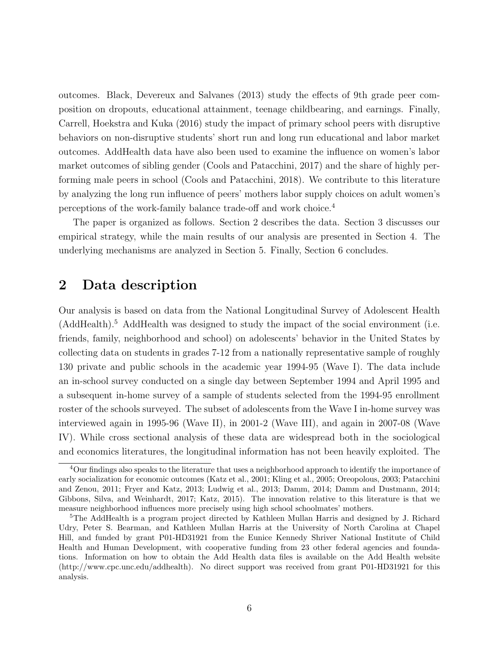outcomes. Black, Devereux and Salvanes (2013) study the effects of 9th grade peer composition on dropouts, educational attainment, teenage childbearing, and earnings. Finally, Carrell, Hoekstra and Kuka (2016) study the impact of primary school peers with disruptive behaviors on non-disruptive students' short run and long run educational and labor market outcomes. AddHealth data have also been used to examine the influence on women's labor market outcomes of sibling gender (Cools and Patacchini, 2017) and the share of highly performing male peers in school (Cools and Patacchini, 2018). We contribute to this literature by analyzing the long run influence of peers' mothers labor supply choices on adult women's perceptions of the work-family balance trade-off and work choice.<sup>4</sup>

The paper is organized as follows. Section 2 describes the data. Section 3 discusses our empirical strategy, while the main results of our analysis are presented in Section 4. The underlying mechanisms are analyzed in Section 5. Finally, Section 6 concludes.

# 2 Data description

Our analysis is based on data from the National Longitudinal Survey of Adolescent Health (AddHealth).<sup>5</sup> AddHealth was designed to study the impact of the social environment (i.e. friends, family, neighborhood and school) on adolescents' behavior in the United States by collecting data on students in grades 7-12 from a nationally representative sample of roughly 130 private and public schools in the academic year 1994-95 (Wave I). The data include an in-school survey conducted on a single day between September 1994 and April 1995 and a subsequent in-home survey of a sample of students selected from the 1994-95 enrollment roster of the schools surveyed. The subset of adolescents from the Wave I in-home survey was interviewed again in 1995-96 (Wave II), in 2001-2 (Wave III), and again in 2007-08 (Wave IV). While cross sectional analysis of these data are widespread both in the sociological and economics literatures, the longitudinal information has not been heavily exploited. The

<sup>&</sup>lt;sup>4</sup>Our findings also speaks to the literature that uses a neighborhood approach to identify the importance of early socialization for economic outcomes (Katz et al., 2001; Kling et al., 2005; Oreopolous, 2003; Patacchini and Zenou, 2011; Fryer and Katz, 2013; Ludwig et al., 2013; Damm, 2014; Damm and Dustmann, 2014; Gibbons, Silva, and Weinhardt, 2017; Katz, 2015). The innovation relative to this literature is that we measure neighborhood influences more precisely using high school schoolmates' mothers.

<sup>5</sup>The AddHealth is a program project directed by Kathleen Mullan Harris and designed by J. Richard Udry, Peter S. Bearman, and Kathleen Mullan Harris at the University of North Carolina at Chapel Hill, and funded by grant P01-HD31921 from the Eunice Kennedy Shriver National Institute of Child Health and Human Development, with cooperative funding from 23 other federal agencies and foundations. Information on how to obtain the Add Health data files is available on the Add Health website (http://www.cpc.unc.edu/addhealth). No direct support was received from grant P01-HD31921 for this analysis.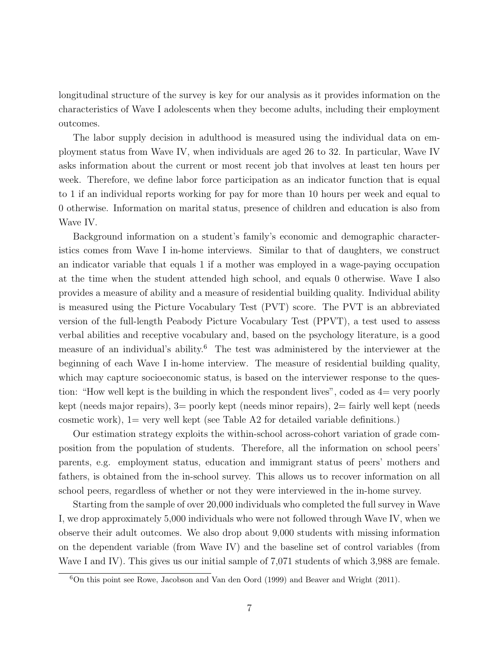longitudinal structure of the survey is key for our analysis as it provides information on the characteristics of Wave I adolescents when they become adults, including their employment outcomes.

The labor supply decision in adulthood is measured using the individual data on employment status from Wave IV, when individuals are aged 26 to 32. In particular, Wave IV asks information about the current or most recent job that involves at least ten hours per week. Therefore, we define labor force participation as an indicator function that is equal to 1 if an individual reports working for pay for more than 10 hours per week and equal to 0 otherwise. Information on marital status, presence of children and education is also from Wave IV.

Background information on a student's family's economic and demographic characteristics comes from Wave I in-home interviews. Similar to that of daughters, we construct an indicator variable that equals 1 if a mother was employed in a wage-paying occupation at the time when the student attended high school, and equals 0 otherwise. Wave I also provides a measure of ability and a measure of residential building quality. Individual ability is measured using the Picture Vocabulary Test (PVT) score. The PVT is an abbreviated version of the full-length Peabody Picture Vocabulary Test (PPVT), a test used to assess verbal abilities and receptive vocabulary and, based on the psychology literature, is a good measure of an individual's ability.<sup>6</sup> The test was administered by the interviewer at the beginning of each Wave I in-home interview. The measure of residential building quality, which may capture socioeconomic status, is based on the interviewer response to the question: "How well kept is the building in which the respondent lives", coded as  $4=$  very poorly kept (needs major repairs), 3= poorly kept (needs minor repairs), 2= fairly well kept (needs cosmetic work),  $1=$  very well kept (see Table A2 for detailed variable definitions.)

Our estimation strategy exploits the within-school across-cohort variation of grade composition from the population of students. Therefore, all the information on school peers' parents, e.g. employment status, education and immigrant status of peers' mothers and fathers, is obtained from the in-school survey. This allows us to recover information on all school peers, regardless of whether or not they were interviewed in the in-home survey.

Starting from the sample of over 20,000 individuals who completed the full survey in Wave I, we drop approximately 5,000 individuals who were not followed through Wave IV, when we observe their adult outcomes. We also drop about 9,000 students with missing information on the dependent variable (from Wave IV) and the baseline set of control variables (from Wave I and IV). This gives us our initial sample of 7,071 students of which 3,988 are female.

 $6$ On this point see Rowe, Jacobson and Van den Oord (1999) and Beaver and Wright (2011).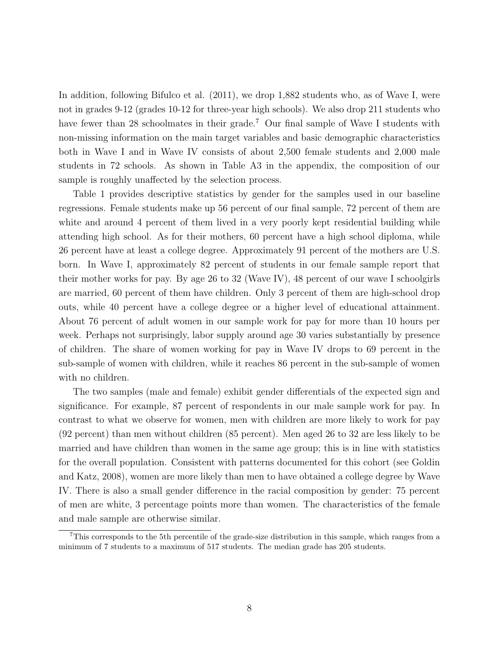In addition, following Bifulco et al. (2011), we drop 1,882 students who, as of Wave I, were not in grades 9-12 (grades 10-12 for three-year high schools). We also drop 211 students who have fewer than 28 schoolmates in their grade.<sup>7</sup> Our final sample of Wave I students with non-missing information on the main target variables and basic demographic characteristics both in Wave I and in Wave IV consists of about 2,500 female students and 2,000 male students in 72 schools. As shown in Table A3 in the appendix, the composition of our sample is roughly unaffected by the selection process.

Table 1 provides descriptive statistics by gender for the samples used in our baseline regressions. Female students make up 56 percent of our final sample, 72 percent of them are white and around 4 percent of them lived in a very poorly kept residential building while attending high school. As for their mothers, 60 percent have a high school diploma, while 26 percent have at least a college degree. Approximately 91 percent of the mothers are U.S. born. In Wave I, approximately 82 percent of students in our female sample report that their mother works for pay. By age 26 to 32 (Wave IV), 48 percent of our wave I schoolgirls are married, 60 percent of them have children. Only 3 percent of them are high-school drop outs, while 40 percent have a college degree or a higher level of educational attainment. About 76 percent of adult women in our sample work for pay for more than 10 hours per week. Perhaps not surprisingly, labor supply around age 30 varies substantially by presence of children. The share of women working for pay in Wave IV drops to 69 percent in the sub-sample of women with children, while it reaches 86 percent in the sub-sample of women with no children.

The two samples (male and female) exhibit gender differentials of the expected sign and significance. For example, 87 percent of respondents in our male sample work for pay. In contrast to what we observe for women, men with children are more likely to work for pay (92 percent) than men without children (85 percent). Men aged 26 to 32 are less likely to be married and have children than women in the same age group; this is in line with statistics for the overall population. Consistent with patterns documented for this cohort (see Goldin and Katz, 2008), women are more likely than men to have obtained a college degree by Wave IV. There is also a small gender difference in the racial composition by gender: 75 percent of men are white, 3 percentage points more than women. The characteristics of the female and male sample are otherwise similar.

<sup>7</sup>This corresponds to the 5th percentile of the grade-size distribution in this sample, which ranges from a minimum of 7 students to a maximum of 517 students. The median grade has 205 students.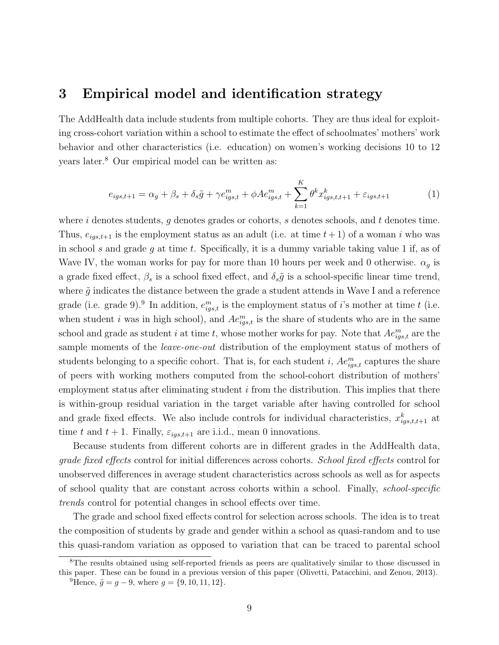## 3 Empirical model and identification strategy

The AddHealth data include students from multiple cohorts. They are thus ideal for exploiting cross-cohort variation within a school to estimate the effect of schoolmates' mothers' work behavior and other characteristics (i.e. education) on women's working decisions 10 to 12 years later.<sup>8</sup> Our empirical model can be written as:

$$
e_{igs, t+1} = \alpha_g + \beta_s + \delta_s \tilde{g} + \gamma e_{igs, t}^m + \phi A e_{igs, t}^m + \sum_{k=1}^K \theta^k x_{igs, t, t+1}^k + \varepsilon_{igs, t+1}
$$
 (1)

where i denotes students, g denotes grades or cohorts, s denotes schools, and t denotes time. Thus,  $e_{igs, t+1}$  is the employment status as an adult (i.e. at time  $t+1$ ) of a woman i who was in school  $s$  and grade  $g$  at time  $t$ . Specifically, it is a dummy variable taking value 1 if, as of Wave IV, the woman works for pay for more than 10 hours per week and 0 otherwise.  $\alpha_g$  is a grade fixed effect,  $\beta_s$  is a school fixed effect, and  $\delta_s \tilde{g}$  is a school-specific linear time trend, where  $\tilde{g}$  indicates the distance between the grade a student attends in Wave I and a reference grade (i.e. grade 9).<sup>9</sup> In addition,  $e_{igs,t}^{m}$  is the employment status of *i*'s mother at time t (i.e. when student *i* was in high school), and  $Ae_{igs,t}^{m}$  is the share of students who are in the same school and grade as student i at time t, whose mother works for pay. Note that  $Ae_{igs,t}^m$  are the sample moments of the *leave-one-out* distribution of the employment status of mothers of students belonging to a specific cohort. That is, for each student i,  $Ae_{igs,t}^m$  captures the share of peers with working mothers computed from the school-cohort distribution of mothers' employment status after eliminating student  $i$  from the distribution. This implies that there is within-group residual variation in the target variable after having controlled for school and grade fixed effects. We also include controls for individual characteristics,  $x_{igs, t, t+1}^k$  at time t and  $t + 1$ . Finally,  $\varepsilon_{igs, t+1}$  are i.i.d., mean 0 innovations.

Because students from different cohorts are in different grades in the AddHealth data, grade fixed effects control for initial differences across cohorts. School fixed effects control for unobserved differences in average student characteristics across schools as well as for aspects of school quality that are constant across cohorts within a school. Finally, school-specific trends control for potential changes in school effects over time.

The grade and school fixed effects control for selection across schools. The idea is to treat the composition of students by grade and gender within a school as quasi-random and to use this quasi-random variation as opposed to variation that can be traced to parental school

<sup>8</sup>The results obtained using self-reported friends as peers are qualitatively similar to those discussed in this paper. These can be found in a previous version of this paper (Olivetti, Patacchini, and Zenou, 2013). <sup>9</sup>Hence,  $\tilde{g} = g - 9$ , where  $g = \{9, 10, 11, 12\}.$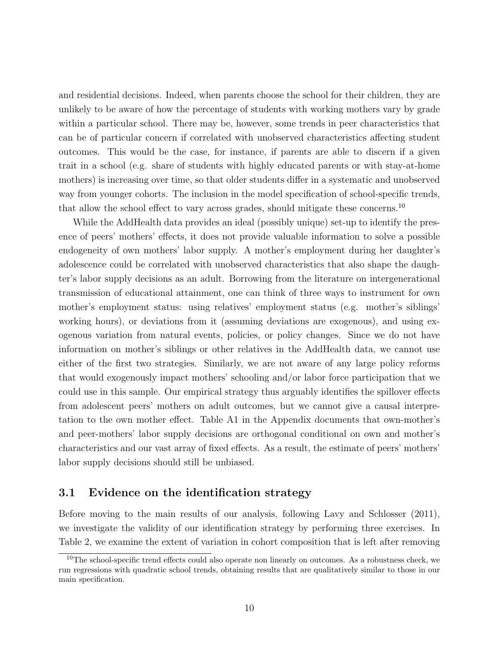and residential decisions. Indeed, when parents choose the school for their children, they are unlikely to be aware of how the percentage of students with working mothers vary by grade within a particular school. There may be, however, some trends in peer characteristics that can be of particular concern if correlated with unobserved characteristics affecting student outcomes. This would be the case, for instance, if parents are able to discern if a given trait in a school (e.g. share of students with highly educated parents or with stay-at-home mothers) is increasing over time, so that older students differ in a systematic and unobserved way from younger cohorts. The inclusion in the model specification of school-specific trends, that allow the school effect to vary across grades, should mitigate these concerns.<sup>10</sup>

While the AddHealth data provides an ideal (possibly unique) set-up to identify the presence of peers' mothers' effects, it does not provide valuable information to solve a possible endogeneity of own mothers' labor supply. A mother's employment during her daughter's adolescence could be correlated with unobserved characteristics that also shape the daughter's labor supply decisions as an adult. Borrowing from the literature on intergenerational transmission of educational attainment, one can think of three ways to instrument for own mother's employment status: using relatives' employment status (e.g. mother's siblings' working hours), or deviations from it (assuming deviations are exogenous), and using exogenous variation from natural events, policies, or policy changes. Since we do not have information on mother's siblings or other relatives in the AddHealth data, we cannot use either of the first two strategies. Similarly, we are not aware of any large policy reforms that would exogenously impact mothers' schooling and/or labor force participation that we could use in this sample. Our empirical strategy thus arguably identifies the spillover effects from adolescent peers' mothers on adult outcomes, but we cannot give a causal interpretation to the own mother effect. Table A1 in the Appendix documents that own-mother's and peer-mothers' labor supply decisions are orthogonal conditional on own and mother's characteristics and our vast array of fixed effects. As a result, the estimate of peers' mothers' labor supply decisions should still be unbiased.

### 3.1 Evidence on the identification strategy

Before moving to the main results of our analysis, following Lavy and Schlosser (2011), we investigate the validity of our identification strategy by performing three exercises. In Table 2, we examine the extent of variation in cohort composition that is left after removing

 $10$ The school-specific trend effects could also operate non linearly on outcomes. As a robustness check, we run regressions with quadratic school trends, obtaining results that are qualitatively similar to those in our main specification.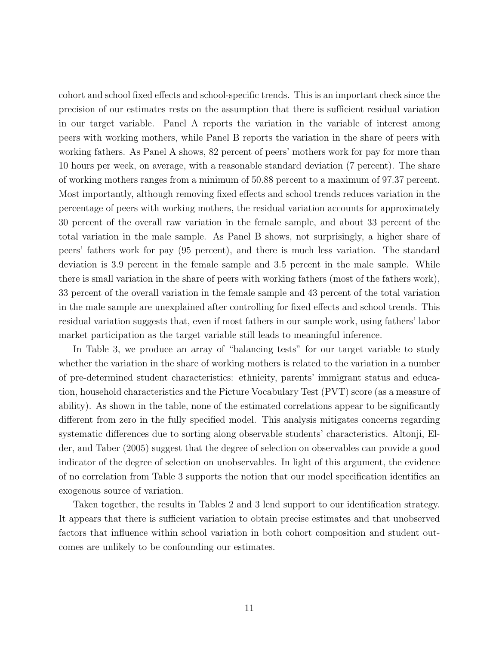cohort and school fixed effects and school-specific trends. This is an important check since the precision of our estimates rests on the assumption that there is sufficient residual variation in our target variable. Panel A reports the variation in the variable of interest among peers with working mothers, while Panel B reports the variation in the share of peers with working fathers. As Panel A shows, 82 percent of peers' mothers work for pay for more than 10 hours per week, on average, with a reasonable standard deviation (7 percent). The share of working mothers ranges from a minimum of 50.88 percent to a maximum of 97.37 percent. Most importantly, although removing fixed effects and school trends reduces variation in the percentage of peers with working mothers, the residual variation accounts for approximately 30 percent of the overall raw variation in the female sample, and about 33 percent of the total variation in the male sample. As Panel B shows, not surprisingly, a higher share of peers' fathers work for pay (95 percent), and there is much less variation. The standard deviation is 3.9 percent in the female sample and 3.5 percent in the male sample. While there is small variation in the share of peers with working fathers (most of the fathers work), 33 percent of the overall variation in the female sample and 43 percent of the total variation in the male sample are unexplained after controlling for fixed effects and school trends. This residual variation suggests that, even if most fathers in our sample work, using fathers' labor market participation as the target variable still leads to meaningful inference.

In Table 3, we produce an array of "balancing tests" for our target variable to study whether the variation in the share of working mothers is related to the variation in a number of pre-determined student characteristics: ethnicity, parents' immigrant status and education, household characteristics and the Picture Vocabulary Test (PVT) score (as a measure of ability). As shown in the table, none of the estimated correlations appear to be significantly different from zero in the fully specified model. This analysis mitigates concerns regarding systematic differences due to sorting along observable students' characteristics. Altonji, Elder, and Taber (2005) suggest that the degree of selection on observables can provide a good indicator of the degree of selection on unobservables. In light of this argument, the evidence of no correlation from Table 3 supports the notion that our model specification identifies an exogenous source of variation.

Taken together, the results in Tables 2 and 3 lend support to our identification strategy. It appears that there is sufficient variation to obtain precise estimates and that unobserved factors that influence within school variation in both cohort composition and student outcomes are unlikely to be confounding our estimates.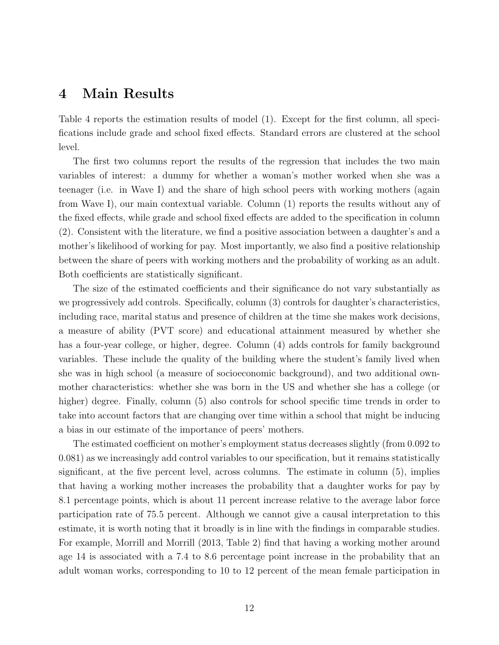## 4 Main Results

Table 4 reports the estimation results of model (1). Except for the first column, all specifications include grade and school fixed effects. Standard errors are clustered at the school level.

The first two columns report the results of the regression that includes the two main variables of interest: a dummy for whether a woman's mother worked when she was a teenager (i.e. in Wave I) and the share of high school peers with working mothers (again from Wave I), our main contextual variable. Column (1) reports the results without any of the fixed effects, while grade and school fixed effects are added to the specification in column (2). Consistent with the literature, we find a positive association between a daughter's and a mother's likelihood of working for pay. Most importantly, we also find a positive relationship between the share of peers with working mothers and the probability of working as an adult. Both coefficients are statistically significant.

The size of the estimated coefficients and their significance do not vary substantially as we progressively add controls. Specifically, column (3) controls for daughter's characteristics, including race, marital status and presence of children at the time she makes work decisions, a measure of ability (PVT score) and educational attainment measured by whether she has a four-year college, or higher, degree. Column (4) adds controls for family background variables. These include the quality of the building where the student's family lived when she was in high school (a measure of socioeconomic background), and two additional ownmother characteristics: whether she was born in the US and whether she has a college (or higher) degree. Finally, column (5) also controls for school specific time trends in order to take into account factors that are changing over time within a school that might be inducing a bias in our estimate of the importance of peers' mothers.

The estimated coefficient on mother's employment status decreases slightly (from 0.092 to 0.081) as we increasingly add control variables to our specification, but it remains statistically significant, at the five percent level, across columns. The estimate in column (5), implies that having a working mother increases the probability that a daughter works for pay by 8.1 percentage points, which is about 11 percent increase relative to the average labor force participation rate of 75.5 percent. Although we cannot give a causal interpretation to this estimate, it is worth noting that it broadly is in line with the findings in comparable studies. For example, Morrill and Morrill (2013, Table 2) find that having a working mother around age 14 is associated with a 7.4 to 8.6 percentage point increase in the probability that an adult woman works, corresponding to 10 to 12 percent of the mean female participation in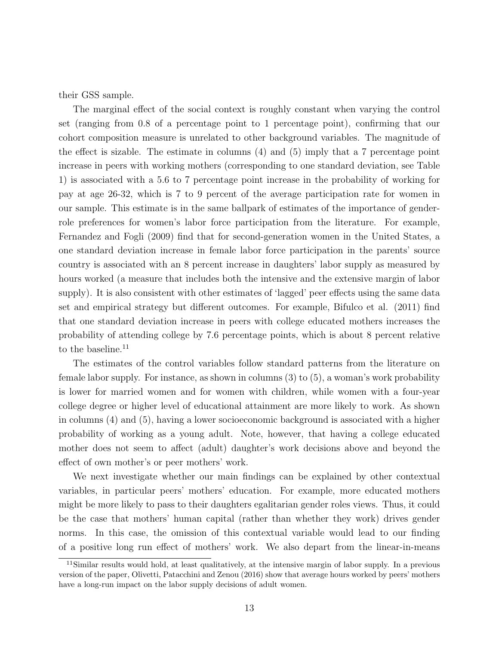their GSS sample.

The marginal effect of the social context is roughly constant when varying the control set (ranging from 0.8 of a percentage point to 1 percentage point), confirming that our cohort composition measure is unrelated to other background variables. The magnitude of the effect is sizable. The estimate in columns (4) and (5) imply that a 7 percentage point increase in peers with working mothers (corresponding to one standard deviation, see Table 1) is associated with a 5.6 to 7 percentage point increase in the probability of working for pay at age 26-32, which is 7 to 9 percent of the average participation rate for women in our sample. This estimate is in the same ballpark of estimates of the importance of genderrole preferences for women's labor force participation from the literature. For example, Fernandez and Fogli (2009) find that for second-generation women in the United States, a one standard deviation increase in female labor force participation in the parents' source country is associated with an 8 percent increase in daughters' labor supply as measured by hours worked (a measure that includes both the intensive and the extensive margin of labor supply). It is also consistent with other estimates of 'lagged' peer effects using the same data set and empirical strategy but different outcomes. For example, Bifulco et al. (2011) find that one standard deviation increase in peers with college educated mothers increases the probability of attending college by 7.6 percentage points, which is about 8 percent relative to the baseline. $11$ 

The estimates of the control variables follow standard patterns from the literature on female labor supply. For instance, as shown in columns (3) to (5), a woman's work probability is lower for married women and for women with children, while women with a four-year college degree or higher level of educational attainment are more likely to work. As shown in columns (4) and (5), having a lower socioeconomic background is associated with a higher probability of working as a young adult. Note, however, that having a college educated mother does not seem to affect (adult) daughter's work decisions above and beyond the effect of own mother's or peer mothers' work.

We next investigate whether our main findings can be explained by other contextual variables, in particular peers' mothers' education. For example, more educated mothers might be more likely to pass to their daughters egalitarian gender roles views. Thus, it could be the case that mothers' human capital (rather than whether they work) drives gender norms. In this case, the omission of this contextual variable would lead to our finding of a positive long run effect of mothers' work. We also depart from the linear-in-means

<sup>11</sup>Similar results would hold, at least qualitatively, at the intensive margin of labor supply. In a previous version of the paper, Olivetti, Patacchini and Zenou (2016) show that average hours worked by peers' mothers have a long-run impact on the labor supply decisions of adult women.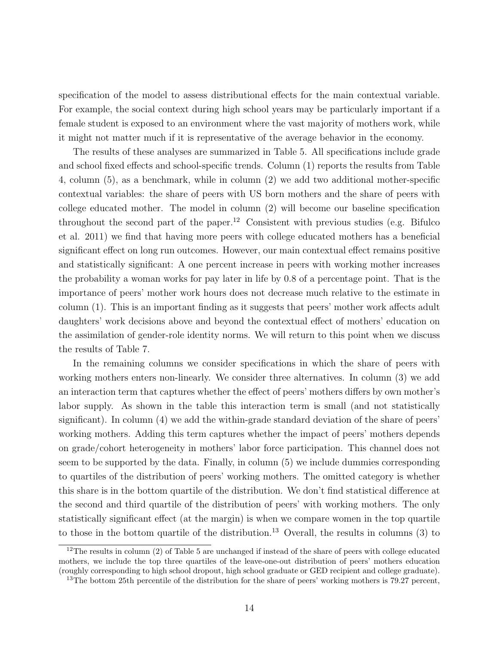specification of the model to assess distributional effects for the main contextual variable. For example, the social context during high school years may be particularly important if a female student is exposed to an environment where the vast majority of mothers work, while it might not matter much if it is representative of the average behavior in the economy.

The results of these analyses are summarized in Table 5. All specifications include grade and school fixed effects and school-specific trends. Column (1) reports the results from Table 4, column (5), as a benchmark, while in column (2) we add two additional mother-specific contextual variables: the share of peers with US born mothers and the share of peers with college educated mother. The model in column (2) will become our baseline specification throughout the second part of the paper.<sup>12</sup> Consistent with previous studies (e.g. Bifulco et al. 2011) we find that having more peers with college educated mothers has a beneficial significant effect on long run outcomes. However, our main contextual effect remains positive and statistically significant: A one percent increase in peers with working mother increases the probability a woman works for pay later in life by 0.8 of a percentage point. That is the importance of peers' mother work hours does not decrease much relative to the estimate in column (1). This is an important finding as it suggests that peers' mother work affects adult daughters' work decisions above and beyond the contextual effect of mothers' education on the assimilation of gender-role identity norms. We will return to this point when we discuss the results of Table 7.

In the remaining columns we consider specifications in which the share of peers with working mothers enters non-linearly. We consider three alternatives. In column (3) we add an interaction term that captures whether the effect of peers' mothers differs by own mother's labor supply. As shown in the table this interaction term is small (and not statistically significant). In column (4) we add the within-grade standard deviation of the share of peers' working mothers. Adding this term captures whether the impact of peers' mothers depends on grade/cohort heterogeneity in mothers' labor force participation. This channel does not seem to be supported by the data. Finally, in column (5) we include dummies corresponding to quartiles of the distribution of peers' working mothers. The omitted category is whether this share is in the bottom quartile of the distribution. We don't find statistical difference at the second and third quartile of the distribution of peers' with working mothers. The only statistically significant effect (at the margin) is when we compare women in the top quartile to those in the bottom quartile of the distribution.<sup>13</sup> Overall, the results in columns  $(3)$  to

 $12$ The results in column (2) of Table 5 are unchanged if instead of the share of peers with college educated mothers, we include the top three quartiles of the leave-one-out distribution of peers' mothers education (roughly corresponding to high school dropout, high school graduate or GED recipient and college graduate).

<sup>&</sup>lt;sup>13</sup>The bottom 25th percentile of the distribution for the share of peers' working mothers is 79.27 percent,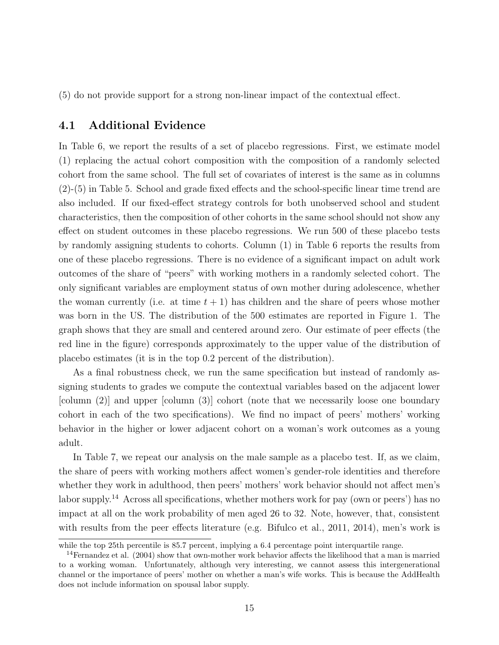(5) do not provide support for a strong non-linear impact of the contextual effect.

### 4.1 Additional Evidence

In Table 6, we report the results of a set of placebo regressions. First, we estimate model (1) replacing the actual cohort composition with the composition of a randomly selected cohort from the same school. The full set of covariates of interest is the same as in columns (2)-(5) in Table 5. School and grade fixed effects and the school-specific linear time trend are also included. If our fixed-effect strategy controls for both unobserved school and student characteristics, then the composition of other cohorts in the same school should not show any effect on student outcomes in these placebo regressions. We run 500 of these placebo tests by randomly assigning students to cohorts. Column (1) in Table 6 reports the results from one of these placebo regressions. There is no evidence of a significant impact on adult work outcomes of the share of "peers" with working mothers in a randomly selected cohort. The only significant variables are employment status of own mother during adolescence, whether the woman currently (i.e. at time  $t + 1$ ) has children and the share of peers whose mother was born in the US. The distribution of the 500 estimates are reported in Figure 1. The graph shows that they are small and centered around zero. Our estimate of peer effects (the red line in the figure) corresponds approximately to the upper value of the distribution of placebo estimates (it is in the top 0.2 percent of the distribution).

As a final robustness check, we run the same specification but instead of randomly assigning students to grades we compute the contextual variables based on the adjacent lower [column (2)] and upper [column (3)] cohort (note that we necessarily loose one boundary cohort in each of the two specifications). We find no impact of peers' mothers' working behavior in the higher or lower adjacent cohort on a woman's work outcomes as a young adult.

In Table 7, we repeat our analysis on the male sample as a placebo test. If, as we claim, the share of peers with working mothers affect women's gender-role identities and therefore whether they work in adulthood, then peers' mothers' work behavior should not affect men's labor supply.<sup>14</sup> Across all specifications, whether mothers work for pay (own or peers') has no impact at all on the work probability of men aged 26 to 32. Note, however, that, consistent with results from the peer effects literature (e.g. Bifulco et al., 2011, 2014), men's work is

while the top 25th percentile is 85.7 percent, implying a 6.4 percentage point interquartile range.

<sup>&</sup>lt;sup>14</sup>Fernandez et al. (2004) show that own-mother work behavior affects the likelihood that a man is married to a working woman. Unfortunately, although very interesting, we cannot assess this intergenerational channel or the importance of peers' mother on whether a man's wife works. This is because the AddHealth does not include information on spousal labor supply.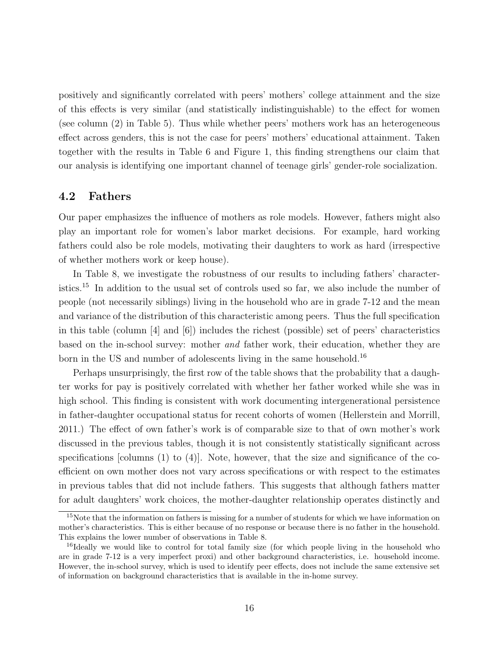positively and significantly correlated with peers' mothers' college attainment and the size of this effects is very similar (and statistically indistinguishable) to the effect for women (see column (2) in Table 5). Thus while whether peers' mothers work has an heterogeneous effect across genders, this is not the case for peers' mothers' educational attainment. Taken together with the results in Table 6 and Figure 1, this finding strengthens our claim that our analysis is identifying one important channel of teenage girls' gender-role socialization.

### 4.2 Fathers

Our paper emphasizes the influence of mothers as role models. However, fathers might also play an important role for women's labor market decisions. For example, hard working fathers could also be role models, motivating their daughters to work as hard (irrespective of whether mothers work or keep house).

In Table 8, we investigate the robustness of our results to including fathers' characteristics.<sup>15</sup> In addition to the usual set of controls used so far, we also include the number of people (not necessarily siblings) living in the household who are in grade 7-12 and the mean and variance of the distribution of this characteristic among peers. Thus the full specification in this table (column [4] and [6]) includes the richest (possible) set of peers' characteristics based on the in-school survey: mother and father work, their education, whether they are born in the US and number of adolescents living in the same household.<sup>16</sup>

Perhaps unsurprisingly, the first row of the table shows that the probability that a daughter works for pay is positively correlated with whether her father worked while she was in high school. This finding is consistent with work documenting intergenerational persistence in father-daughter occupational status for recent cohorts of women (Hellerstein and Morrill, 2011.) The effect of own father's work is of comparable size to that of own mother's work discussed in the previous tables, though it is not consistently statistically significant across specifications  $[columns (1) to (4)]$ . Note, however, that the size and significance of the coefficient on own mother does not vary across specifications or with respect to the estimates in previous tables that did not include fathers. This suggests that although fathers matter for adult daughters' work choices, the mother-daughter relationship operates distinctly and

<sup>&</sup>lt;sup>15</sup>Note that the information on fathers is missing for a number of students for which we have information on mother's characteristics. This is either because of no response or because there is no father in the household. This explains the lower number of observations in Table 8.

<sup>&</sup>lt;sup>16</sup>Ideally we would like to control for total family size (for which people living in the household who are in grade 7-12 is a very imperfect proxi) and other background characteristics, i.e. household income. However, the in-school survey, which is used to identify peer effects, does not include the same extensive set of information on background characteristics that is available in the in-home survey.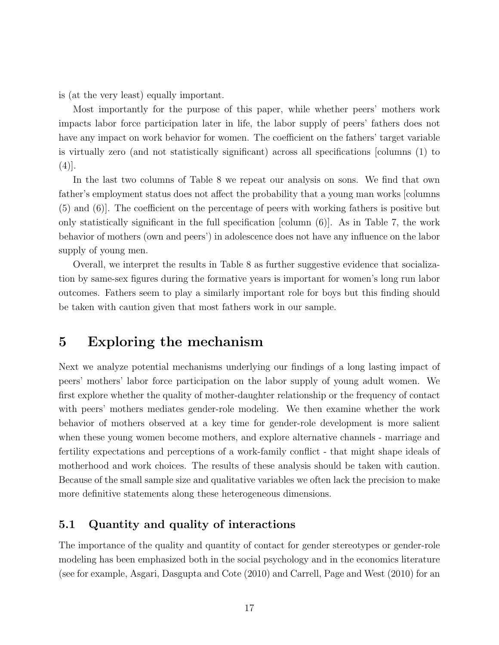is (at the very least) equally important.

Most importantly for the purpose of this paper, while whether peers' mothers work impacts labor force participation later in life, the labor supply of peers' fathers does not have any impact on work behavior for women. The coefficient on the fathers' target variable is virtually zero (and not statistically significant) across all specifications [columns (1) to  $(4)$ ].

In the last two columns of Table 8 we repeat our analysis on sons. We find that own father's employment status does not affect the probability that a young man works [columns (5) and (6)]. The coefficient on the percentage of peers with working fathers is positive but only statistically significant in the full specification [column (6)]. As in Table 7, the work behavior of mothers (own and peers') in adolescence does not have any influence on the labor supply of young men.

Overall, we interpret the results in Table 8 as further suggestive evidence that socialization by same-sex figures during the formative years is important for women's long run labor outcomes. Fathers seem to play a similarly important role for boys but this finding should be taken with caution given that most fathers work in our sample.

# 5 Exploring the mechanism

Next we analyze potential mechanisms underlying our findings of a long lasting impact of peers' mothers' labor force participation on the labor supply of young adult women. We first explore whether the quality of mother-daughter relationship or the frequency of contact with peers' mothers mediates gender-role modeling. We then examine whether the work behavior of mothers observed at a key time for gender-role development is more salient when these young women become mothers, and explore alternative channels - marriage and fertility expectations and perceptions of a work-family conflict - that might shape ideals of motherhood and work choices. The results of these analysis should be taken with caution. Because of the small sample size and qualitative variables we often lack the precision to make more definitive statements along these heterogeneous dimensions.

### 5.1 Quantity and quality of interactions

The importance of the quality and quantity of contact for gender stereotypes or gender-role modeling has been emphasized both in the social psychology and in the economics literature (see for example, Asgari, Dasgupta and Cote (2010) and Carrell, Page and West (2010) for an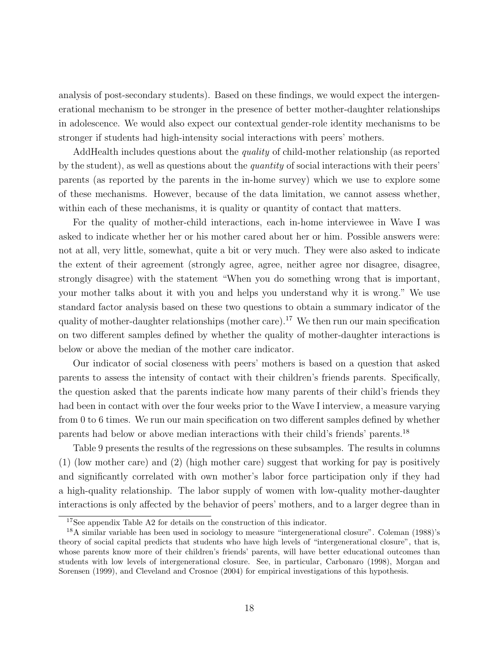analysis of post-secondary students). Based on these findings, we would expect the intergenerational mechanism to be stronger in the presence of better mother-daughter relationships in adolescence. We would also expect our contextual gender-role identity mechanisms to be stronger if students had high-intensity social interactions with peers' mothers.

AddHealth includes questions about the *quality* of child-mother relationship (as reported by the student), as well as questions about the quantity of social interactions with their peers' parents (as reported by the parents in the in-home survey) which we use to explore some of these mechanisms. However, because of the data limitation, we cannot assess whether, within each of these mechanisms, it is quality or quantity of contact that matters.

For the quality of mother-child interactions, each in-home interviewee in Wave I was asked to indicate whether her or his mother cared about her or him. Possible answers were: not at all, very little, somewhat, quite a bit or very much. They were also asked to indicate the extent of their agreement (strongly agree, agree, neither agree nor disagree, disagree, strongly disagree) with the statement "When you do something wrong that is important, your mother talks about it with you and helps you understand why it is wrong." We use standard factor analysis based on these two questions to obtain a summary indicator of the quality of mother-daughter relationships (mother care).<sup>17</sup> We then run our main specification on two different samples defined by whether the quality of mother-daughter interactions is below or above the median of the mother care indicator.

Our indicator of social closeness with peers' mothers is based on a question that asked parents to assess the intensity of contact with their children's friends parents. Specifically, the question asked that the parents indicate how many parents of their child's friends they had been in contact with over the four weeks prior to the Wave I interview, a measure varying from 0 to 6 times. We run our main specification on two different samples defined by whether parents had below or above median interactions with their child's friends' parents.<sup>18</sup>

Table 9 presents the results of the regressions on these subsamples. The results in columns (1) (low mother care) and (2) (high mother care) suggest that working for pay is positively and significantly correlated with own mother's labor force participation only if they had a high-quality relationship. The labor supply of women with low-quality mother-daughter interactions is only affected by the behavior of peers' mothers, and to a larger degree than in

 $17$ See appendix Table A2 for details on the construction of this indicator.

<sup>18</sup>A similar variable has been used in sociology to measure "intergenerational closure". Coleman (1988)'s theory of social capital predicts that students who have high levels of "intergenerational closure", that is, whose parents know more of their children's friends' parents, will have better educational outcomes than students with low levels of intergenerational closure. See, in particular, Carbonaro (1998), Morgan and Sorensen (1999), and Cleveland and Crosnoe (2004) for empirical investigations of this hypothesis.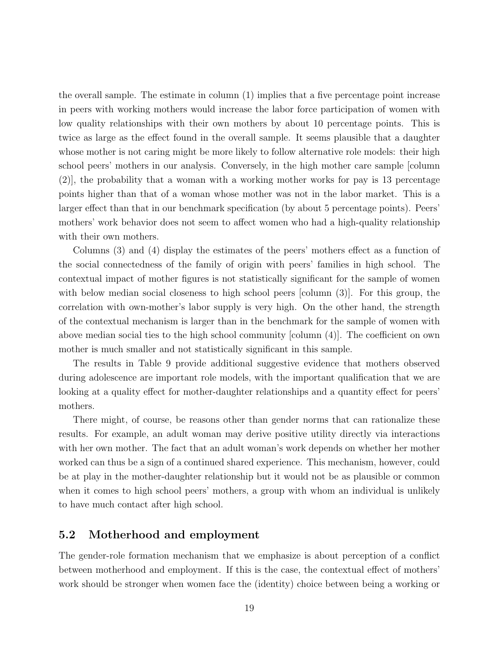the overall sample. The estimate in column (1) implies that a five percentage point increase in peers with working mothers would increase the labor force participation of women with low quality relationships with their own mothers by about 10 percentage points. This is twice as large as the effect found in the overall sample. It seems plausible that a daughter whose mother is not caring might be more likely to follow alternative role models: their high school peers' mothers in our analysis. Conversely, in the high mother care sample [column (2)], the probability that a woman with a working mother works for pay is 13 percentage points higher than that of a woman whose mother was not in the labor market. This is a larger effect than that in our benchmark specification (by about 5 percentage points). Peers' mothers' work behavior does not seem to affect women who had a high-quality relationship with their own mothers.

Columns (3) and (4) display the estimates of the peers' mothers effect as a function of the social connectedness of the family of origin with peers' families in high school. The contextual impact of mother figures is not statistically significant for the sample of women with below median social closeness to high school peers [column (3)]. For this group, the correlation with own-mother's labor supply is very high. On the other hand, the strength of the contextual mechanism is larger than in the benchmark for the sample of women with above median social ties to the high school community [column (4)]. The coefficient on own mother is much smaller and not statistically significant in this sample.

The results in Table 9 provide additional suggestive evidence that mothers observed during adolescence are important role models, with the important qualification that we are looking at a quality effect for mother-daughter relationships and a quantity effect for peers' mothers.

There might, of course, be reasons other than gender norms that can rationalize these results. For example, an adult woman may derive positive utility directly via interactions with her own mother. The fact that an adult woman's work depends on whether her mother worked can thus be a sign of a continued shared experience. This mechanism, however, could be at play in the mother-daughter relationship but it would not be as plausible or common when it comes to high school peers' mothers, a group with whom an individual is unlikely to have much contact after high school.

### 5.2 Motherhood and employment

The gender-role formation mechanism that we emphasize is about perception of a conflict between motherhood and employment. If this is the case, the contextual effect of mothers' work should be stronger when women face the (identity) choice between being a working or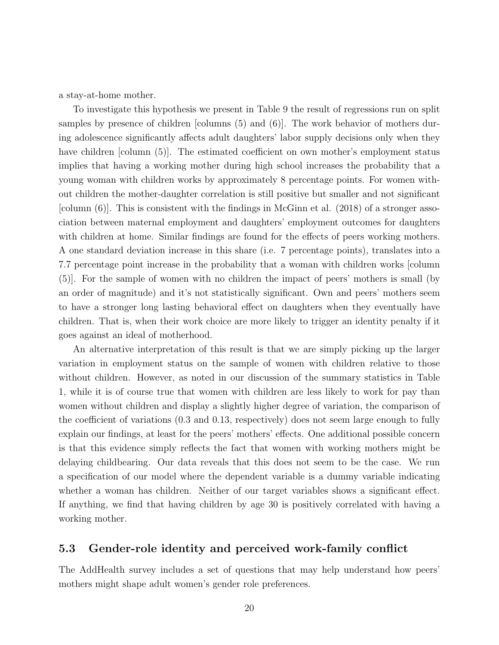a stay-at-home mother.

To investigate this hypothesis we present in Table 9 the result of regressions run on split samples by presence of children [columns (5) and (6)]. The work behavior of mothers during adolescence significantly affects adult daughters' labor supply decisions only when they have children [column (5)]. The estimated coefficient on own mother's employment status implies that having a working mother during high school increases the probability that a young woman with children works by approximately 8 percentage points. For women without children the mother-daughter correlation is still positive but smaller and not significant  $\lceil \text{column (6)} \rceil$ . This is consistent with the findings in McGinn et al. (2018) of a stronger association between maternal employment and daughters' employment outcomes for daughters with children at home. Similar findings are found for the effects of peers working mothers. A one standard deviation increase in this share (i.e. 7 percentage points), translates into a 7.7 percentage point increase in the probability that a woman with children works [column (5)]. For the sample of women with no children the impact of peers' mothers is small (by an order of magnitude) and it's not statistically significant. Own and peers' mothers seem to have a stronger long lasting behavioral effect on daughters when they eventually have children. That is, when their work choice are more likely to trigger an identity penalty if it goes against an ideal of motherhood.

An alternative interpretation of this result is that we are simply picking up the larger variation in employment status on the sample of women with children relative to those without children. However, as noted in our discussion of the summary statistics in Table 1, while it is of course true that women with children are less likely to work for pay than women without children and display a slightly higher degree of variation, the comparison of the coefficient of variations (0.3 and 0.13, respectively) does not seem large enough to fully explain our findings, at least for the peers' mothers' effects. One additional possible concern is that this evidence simply reflects the fact that women with working mothers might be delaying childbearing. Our data reveals that this does not seem to be the case. We run a specification of our model where the dependent variable is a dummy variable indicating whether a woman has children. Neither of our target variables shows a significant effect. If anything, we find that having children by age 30 is positively correlated with having a working mother.

### 5.3 Gender-role identity and perceived work-family conflict

The AddHealth survey includes a set of questions that may help understand how peers' mothers might shape adult women's gender role preferences.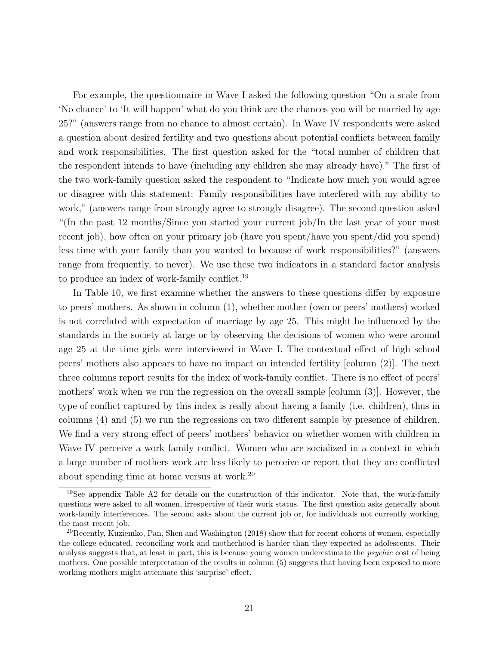For example, the questionnaire in Wave I asked the following question "On a scale from 'No chance' to 'It will happen' what do you think are the chances you will be married by age 25?" (answers range from no chance to almost certain). In Wave IV respondents were asked a question about desired fertility and two questions about potential conflicts between family and work responsibilities. The first question asked for the "total number of children that the respondent intends to have (including any children she may already have)." The first of the two work-family question asked the respondent to "Indicate how much you would agree or disagree with this statement: Family responsibilities have interfered with my ability to work," (answers range from strongly agree to strongly disagree). The second question asked "(In the past 12 months/Since you started your current job/In the last year of your most recent job), how often on your primary job (have you spent/have you spent/did you spend) less time with your family than you wanted to because of work responsibilities?" (answers range from frequently, to never). We use these two indicators in a standard factor analysis to produce an index of work-family conflict.<sup>19</sup>

In Table 10, we first examine whether the answers to these questions differ by exposure to peers' mothers. As shown in column (1), whether mother (own or peers' mothers) worked is not correlated with expectation of marriage by age 25. This might be influenced by the standards in the society at large or by observing the decisions of women who were around age 25 at the time girls were interviewed in Wave I. The contextual effect of high school peers' mothers also appears to have no impact on intended fertility [column (2)]. The next three columns report results for the index of work-family conflict. There is no effect of peers' mothers' work when we run the regression on the overall sample [column (3)]. However, the type of conflict captured by this index is really about having a family (i.e. children), thus in columns (4) and (5) we run the regressions on two different sample by presence of children. We find a very strong effect of peers' mothers' behavior on whether women with children in Wave IV perceive a work family conflict. Women who are socialized in a context in which a large number of mothers work are less likely to perceive or report that they are conflicted about spending time at home versus at work.<sup>20</sup>

<sup>&</sup>lt;sup>19</sup>See appendix Table A2 for details on the construction of this indicator. Note that, the work-family questions were asked to all women, irrespective of their work status. The first question asks generally about work-family interferences. The second asks about the current job or, for individuals not currently working, the most recent job.

<sup>20</sup>Recently, Kuziemko, Pan, Shen and Washington (2018) show that for recent cohorts of women, especially the college educated, reconciling work and motherhood is harder than they expected as adolescents. Their analysis suggests that, at least in part, this is because young women underestimate the psychic cost of being mothers. One possible interpretation of the results in column (5) suggests that having been exposed to more working mothers might attenuate this 'surprise' effect.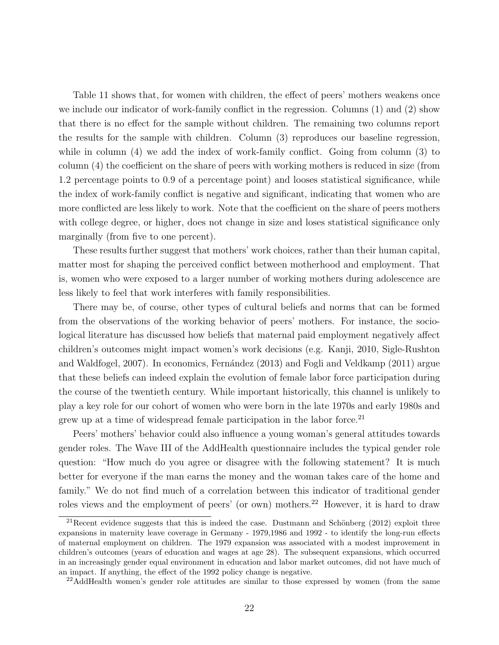Table 11 shows that, for women with children, the effect of peers' mothers weakens once we include our indicator of work-family conflict in the regression. Columns (1) and (2) show that there is no effect for the sample without children. The remaining two columns report the results for the sample with children. Column (3) reproduces our baseline regression, while in column (4) we add the index of work-family conflict. Going from column (3) to column (4) the coefficient on the share of peers with working mothers is reduced in size (from 1.2 percentage points to 0.9 of a percentage point) and looses statistical significance, while the index of work-family conflict is negative and significant, indicating that women who are more conflicted are less likely to work. Note that the coefficient on the share of peers mothers with college degree, or higher, does not change in size and loses statistical significance only marginally (from five to one percent).

These results further suggest that mothers' work choices, rather than their human capital, matter most for shaping the perceived conflict between motherhood and employment. That is, women who were exposed to a larger number of working mothers during adolescence are less likely to feel that work interferes with family responsibilities.

There may be, of course, other types of cultural beliefs and norms that can be formed from the observations of the working behavior of peers' mothers. For instance, the sociological literature has discussed how beliefs that maternal paid employment negatively affect children's outcomes might impact women's work decisions (e.g. Kanji, 2010, Sigle-Rushton and Waldfogel, 2007). In economics, Fernández (2013) and Fogli and Veldkamp (2011) argue that these beliefs can indeed explain the evolution of female labor force participation during the course of the twentieth century. While important historically, this channel is unlikely to play a key role for our cohort of women who were born in the late 1970s and early 1980s and grew up at a time of widespread female participation in the labor force. $^{21}$ 

Peers' mothers' behavior could also influence a young woman's general attitudes towards gender roles. The Wave III of the AddHealth questionnaire includes the typical gender role question: "How much do you agree or disagree with the following statement? It is much better for everyone if the man earns the money and the woman takes care of the home and family." We do not find much of a correlation between this indicator of traditional gender roles views and the employment of peers' (or own) mothers.<sup>22</sup> However, it is hard to draw

 $21$ Recent evidence suggests that this is indeed the case. Dustmann and Schönberg (2012) exploit three expansions in maternity leave coverage in Germany - 1979,1986 and 1992 - to identify the long-run effects of maternal employment on children. The 1979 expansion was associated with a modest improvement in children's outcomes (years of education and wages at age 28). The subsequent expansions, which occurred in an increasingly gender equal environment in education and labor market outcomes, did not have much of an impact. If anything, the effect of the 1992 policy change is negative.

 $22$ AddHealth women's gender role attitudes are similar to those expressed by women (from the same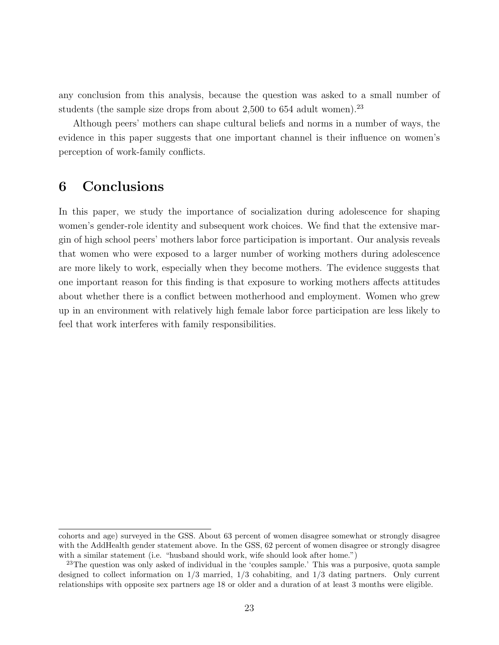any conclusion from this analysis, because the question was asked to a small number of students (the sample size drops from about  $2,500$  to  $654$  adult women).<sup>23</sup>

Although peers' mothers can shape cultural beliefs and norms in a number of ways, the evidence in this paper suggests that one important channel is their influence on women's perception of work-family conflicts.

# 6 Conclusions

In this paper, we study the importance of socialization during adolescence for shaping women's gender-role identity and subsequent work choices. We find that the extensive margin of high school peers' mothers labor force participation is important. Our analysis reveals that women who were exposed to a larger number of working mothers during adolescence are more likely to work, especially when they become mothers. The evidence suggests that one important reason for this finding is that exposure to working mothers affects attitudes about whether there is a conflict between motherhood and employment. Women who grew up in an environment with relatively high female labor force participation are less likely to feel that work interferes with family responsibilities.

cohorts and age) surveyed in the GSS. About 63 percent of women disagree somewhat or strongly disagree with the AddHealth gender statement above. In the GSS, 62 percent of women disagree or strongly disagree with a similar statement (i.e. "husband should work, wife should look after home.")

<sup>&</sup>lt;sup>23</sup>The question was only asked of individual in the 'couples sample.' This was a purposive, quota sample designed to collect information on 1/3 married, 1/3 cohabiting, and 1/3 dating partners. Only current relationships with opposite sex partners age 18 or older and a duration of at least 3 months were eligible.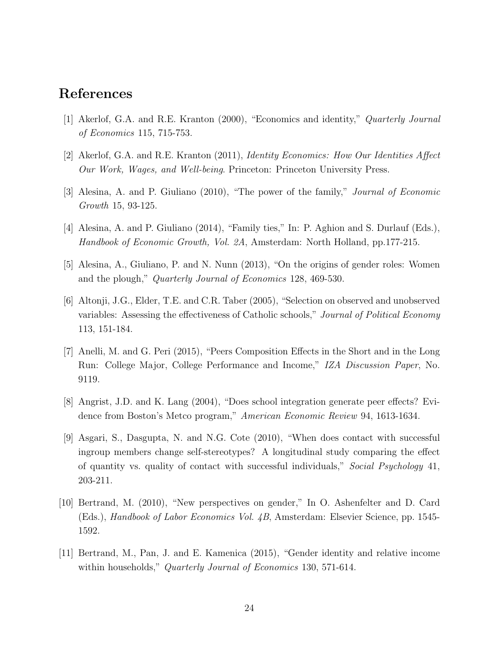# References

- [1] Akerlof, G.A. and R.E. Kranton (2000), "Economics and identity," Quarterly Journal of Economics 115, 715-753.
- [2] Akerlof, G.A. and R.E. Kranton (2011), Identity Economics: How Our Identities Affect Our Work, Wages, and Well-being. Princeton: Princeton University Press.
- [3] Alesina, A. and P. Giuliano (2010), "The power of the family," Journal of Economic Growth 15, 93-125.
- [4] Alesina, A. and P. Giuliano (2014), "Family ties," In: P. Aghion and S. Durlauf (Eds.), Handbook of Economic Growth, Vol. 2A, Amsterdam: North Holland, pp.177-215.
- [5] Alesina, A., Giuliano, P. and N. Nunn (2013), "On the origins of gender roles: Women and the plough," Quarterly Journal of Economics 128, 469-530.
- [6] Altonji, J.G., Elder, T.E. and C.R. Taber (2005), "Selection on observed and unobserved variables: Assessing the effectiveness of Catholic schools," Journal of Political Economy 113, 151-184.
- [7] Anelli, M. and G. Peri (2015), "Peers Composition Effects in the Short and in the Long Run: College Major, College Performance and Income," IZA Discussion Paper, No. 9119.
- [8] Angrist, J.D. and K. Lang (2004), "Does school integration generate peer effects? Evidence from Boston's Metco program," American Economic Review 94, 1613-1634.
- [9] Asgari, S., Dasgupta, N. and N.G. Cote (2010), "When does contact with successful ingroup members change self-stereotypes? A longitudinal study comparing the effect of quantity vs. quality of contact with successful individuals," Social Psychology 41, 203-211.
- [10] Bertrand, M. (2010), "New perspectives on gender," In O. Ashenfelter and D. Card (Eds.), Handbook of Labor Economics Vol. 4B, Amsterdam: Elsevier Science, pp. 1545- 1592.
- [11] Bertrand, M., Pan, J. and E. Kamenica (2015), "Gender identity and relative income within households," *Quarterly Journal of Economics* 130, 571-614.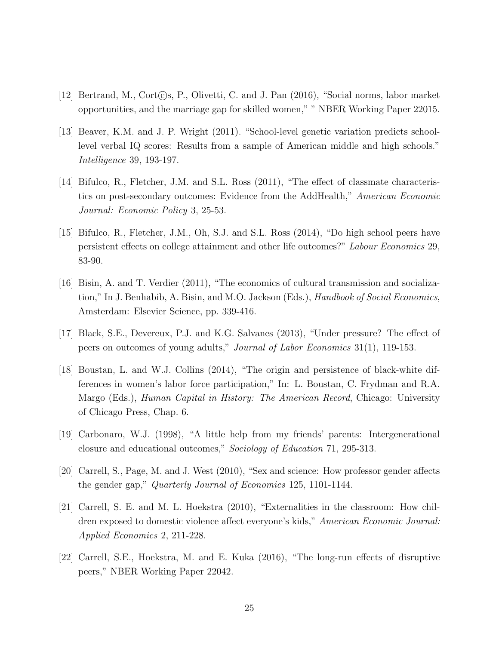- [12] Bertrand, M., Cort $\hat{C}$ s, P., Olivetti, C. and J. Pan (2016), "Social norms, labor market opportunities, and the marriage gap for skilled women," " NBER Working Paper 22015.
- [13] Beaver, K.M. and J. P. Wright (2011). "School-level genetic variation predicts schoollevel verbal IQ scores: Results from a sample of American middle and high schools." Intelligence 39, 193-197.
- [14] Bifulco, R., Fletcher, J.M. and S.L. Ross (2011), "The effect of classmate characteristics on post-secondary outcomes: Evidence from the AddHealth," American Economic Journal: Economic Policy 3, 25-53.
- [15] Bifulco, R., Fletcher, J.M., Oh, S.J. and S.L. Ross (2014), "Do high school peers have persistent effects on college attainment and other life outcomes?" Labour Economics 29, 83-90.
- [16] Bisin, A. and T. Verdier (2011), "The economics of cultural transmission and socialization," In J. Benhabib, A. Bisin, and M.O. Jackson (Eds.), *Handbook of Social Economics*, Amsterdam: Elsevier Science, pp. 339-416.
- [17] Black, S.E., Devereux, P.J. and K.G. Salvanes (2013), "Under pressure? The effect of peers on outcomes of young adults," Journal of Labor Economics 31(1), 119-153.
- [18] Boustan, L. and W.J. Collins (2014), "The origin and persistence of black-white differences in women's labor force participation," In: L. Boustan, C. Frydman and R.A. Margo (Eds.), *Human Capital in History: The American Record*, Chicago: University of Chicago Press, Chap. 6.
- [19] Carbonaro, W.J. (1998), "A little help from my friends' parents: Intergenerational closure and educational outcomes," Sociology of Education 71, 295-313.
- [20] Carrell, S., Page, M. and J. West (2010), "Sex and science: How professor gender affects the gender gap," Quarterly Journal of Economics 125, 1101-1144.
- [21] Carrell, S. E. and M. L. Hoekstra (2010), "Externalities in the classroom: How children exposed to domestic violence affect everyone's kids," American Economic Journal: Applied Economics 2, 211-228.
- [22] Carrell, S.E., Hoekstra, M. and E. Kuka (2016), "The long-run effects of disruptive peers," NBER Working Paper 22042.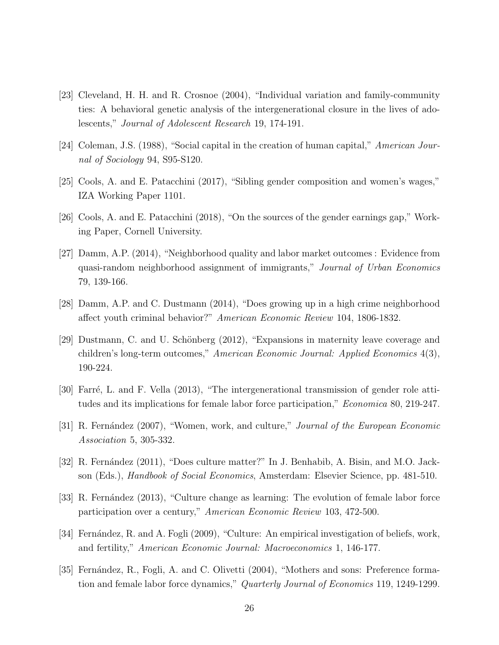- [23] Cleveland, H. H. and R. Crosnoe (2004), "Individual variation and family-community ties: A behavioral genetic analysis of the intergenerational closure in the lives of adolescents," Journal of Adolescent Research 19, 174-191.
- [24] Coleman, J.S. (1988), "Social capital in the creation of human capital," American Journal of Sociology 94, S95-S120.
- [25] Cools, A. and E. Patacchini (2017), "Sibling gender composition and women's wages," IZA Working Paper 1101.
- [26] Cools, A. and E. Patacchini (2018), "On the sources of the gender earnings gap," Working Paper, Cornell University.
- [27] Damm, A.P. (2014), "Neighborhood quality and labor market outcomes : Evidence from quasi-random neighborhood assignment of immigrants," Journal of Urban Economics 79, 139-166.
- [28] Damm, A.P. and C. Dustmann (2014), "Does growing up in a high crime neighborhood affect youth criminal behavior?" American Economic Review 104, 1806-1832.
- [29] Dustmann, C. and U. Schönberg (2012), "Expansions in maternity leave coverage and children's long-term outcomes," American Economic Journal: Applied Economics 4(3), 190-224.
- [30] Farré, L. and F. Vella (2013), "The intergenerational transmission of gender role attitudes and its implications for female labor force participation," Economica 80, 219-247.
- [31] R. Fernández (2007), "Women, work, and culture," *Journal of the European Economic* Association 5, 305-332.
- [32] R. Fernández (2011), "Does culture matter?" In J. Benhabib, A. Bisin, and M.O. Jackson (Eds.), Handbook of Social Economics, Amsterdam: Elsevier Science, pp. 481-510.
- [33] R. Fernández (2013), "Culture change as learning: The evolution of female labor force participation over a century," American Economic Review 103, 472-500.
- [34] Fernández, R. and A. Fogli (2009), "Culture: An empirical investigation of beliefs, work, and fertility," American Economic Journal: Macroeconomics 1, 146-177.
- [35] Fernández, R., Fogli, A. and C. Olivetti (2004), "Mothers and sons: Preference formation and female labor force dynamics," Quarterly Journal of Economics 119, 1249-1299.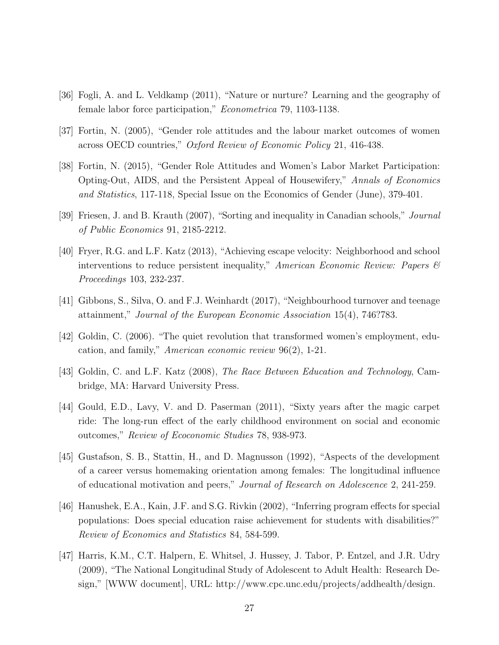- [36] Fogli, A. and L. Veldkamp (2011), "Nature or nurture? Learning and the geography of female labor force participation," Econometrica 79, 1103-1138.
- [37] Fortin, N. (2005), "Gender role attitudes and the labour market outcomes of women across OECD countries," Oxford Review of Economic Policy 21, 416-438.
- [38] Fortin, N. (2015), "Gender Role Attitudes and Women's Labor Market Participation: Opting-Out, AIDS, and the Persistent Appeal of Housewifery," Annals of Economics and Statistics, 117-118, Special Issue on the Economics of Gender (June), 379-401.
- [39] Friesen, J. and B. Krauth (2007), "Sorting and inequality in Canadian schools," Journal of Public Economics 91, 2185-2212.
- [40] Fryer, R.G. and L.F. Katz (2013), "Achieving escape velocity: Neighborhood and school interventions to reduce persistent inequality," American Economic Review: Papers  $\mathscr B$ Proceedings 103, 232-237.
- [41] Gibbons, S., Silva, O. and F.J. Weinhardt (2017), "Neighbourhood turnover and teenage attainment," Journal of the European Economic Association 15(4), 746?783.
- [42] Goldin, C. (2006). "The quiet revolution that transformed women's employment, education, and family," American economic review 96(2), 1-21.
- [43] Goldin, C. and L.F. Katz (2008), The Race Between Education and Technology, Cambridge, MA: Harvard University Press.
- [44] Gould, E.D., Lavy, V. and D. Paserman (2011), "Sixty years after the magic carpet ride: The long-run effect of the early childhood environment on social and economic outcomes," Review of Ecoconomic Studies 78, 938-973.
- [45] Gustafson, S. B., Stattin, H., and D. Magnusson (1992), "Aspects of the development of a career versus homemaking orientation among females: The longitudinal influence of educational motivation and peers," Journal of Research on Adolescence 2, 241-259.
- [46] Hanushek, E.A., Kain, J.F. and S.G. Rivkin (2002), "Inferring program effects for special populations: Does special education raise achievement for students with disabilities?" Review of Economics and Statistics 84, 584-599.
- [47] Harris, K.M., C.T. Halpern, E. Whitsel, J. Hussey, J. Tabor, P. Entzel, and J.R. Udry (2009), "The National Longitudinal Study of Adolescent to Adult Health: Research Design," [WWW document], URL: http://www.cpc.unc.edu/projects/addhealth/design.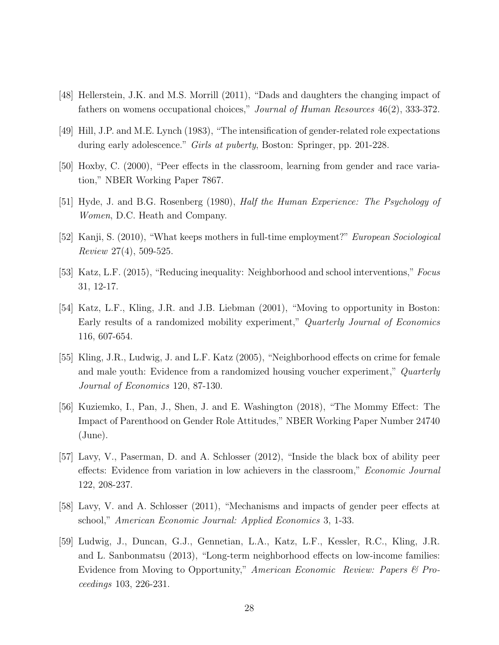- [48] Hellerstein, J.K. and M.S. Morrill (2011), "Dads and daughters the changing impact of fathers on womens occupational choices," *Journal of Human Resources* 46(2), 333-372.
- [49] Hill, J.P. and M.E. Lynch (1983), "The intensification of gender-related role expectations during early adolescence." *Girls at puberty*, Boston: Springer, pp. 201-228.
- [50] Hoxby, C. (2000), "Peer effects in the classroom, learning from gender and race variation," NBER Working Paper 7867.
- [51] Hyde, J. and B.G. Rosenberg (1980), Half the Human Experience: The Psychology of Women, D.C. Heath and Company.
- [52] Kanji, S. (2010), "What keeps mothers in full-time employment?" European Sociological Review 27(4), 509-525.
- [53] Katz, L.F. (2015), "Reducing inequality: Neighborhood and school interventions," Focus 31, 12-17.
- [54] Katz, L.F., Kling, J.R. and J.B. Liebman (2001), "Moving to opportunity in Boston: Early results of a randomized mobility experiment," Quarterly Journal of Economics 116, 607-654.
- [55] Kling, J.R., Ludwig, J. and L.F. Katz (2005), "Neighborhood effects on crime for female and male youth: Evidence from a randomized housing voucher experiment," Quarterly Journal of Economics 120, 87-130.
- [56] Kuziemko, I., Pan, J., Shen, J. and E. Washington (2018), "The Mommy Effect: The Impact of Parenthood on Gender Role Attitudes," NBER Working Paper Number 24740 (June).
- [57] Lavy, V., Paserman, D. and A. Schlosser (2012), "Inside the black box of ability peer effects: Evidence from variation in low achievers in the classroom," *Economic Journal* 122, 208-237.
- [58] Lavy, V. and A. Schlosser (2011), "Mechanisms and impacts of gender peer effects at school," American Economic Journal: Applied Economics 3, 1-33.
- [59] Ludwig, J., Duncan, G.J., Gennetian, L.A., Katz, L.F., Kessler, R.C., Kling, J.R. and L. Sanbonmatsu (2013), "Long-term neighborhood effects on low-income families: Evidence from Moving to Opportunity," American Economic Review: Papers & Proceedings 103, 226-231.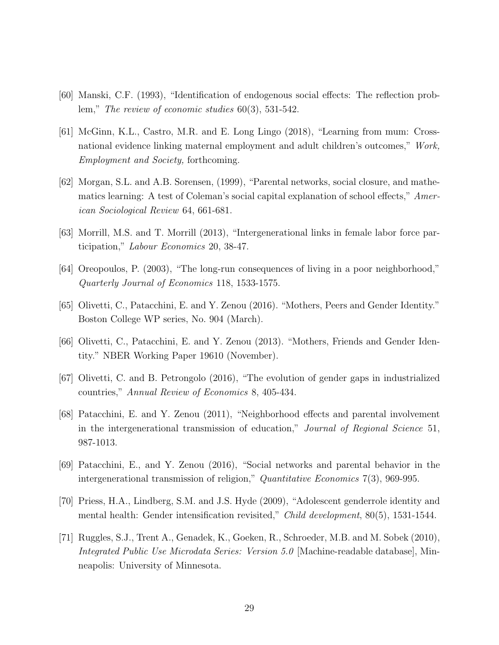- [60] Manski, C.F. (1993), "Identification of endogenous social effects: The reflection problem," The review of economic studies 60(3), 531-542.
- [61] McGinn, K.L., Castro, M.R. and E. Long Lingo (2018), "Learning from mum: Crossnational evidence linking maternal employment and adult children's outcomes," Work, Employment and Society, forthcoming.
- [62] Morgan, S.L. and A.B. Sorensen, (1999), "Parental networks, social closure, and mathematics learning: A test of Coleman's social capital explanation of school effects," American Sociological Review 64, 661-681.
- [63] Morrill, M.S. and T. Morrill (2013), "Intergenerational links in female labor force participation," Labour Economics 20, 38-47.
- [64] Oreopoulos, P. (2003), "The long-run consequences of living in a poor neighborhood," Quarterly Journal of Economics 118, 1533-1575.
- [65] Olivetti, C., Patacchini, E. and Y. Zenou (2016). "Mothers, Peers and Gender Identity." Boston College WP series, No. 904 (March).
- [66] Olivetti, C., Patacchini, E. and Y. Zenou (2013). "Mothers, Friends and Gender Identity." NBER Working Paper 19610 (November).
- [67] Olivetti, C. and B. Petrongolo (2016), "The evolution of gender gaps in industrialized countries," Annual Review of Economics 8, 405-434.
- [68] Patacchini, E. and Y. Zenou (2011), "Neighborhood effects and parental involvement in the intergenerational transmission of education," Journal of Regional Science 51, 987-1013.
- [69] Patacchini, E., and Y. Zenou (2016), "Social networks and parental behavior in the intergenerational transmission of religion," Quantitative Economics 7(3), 969-995.
- [70] Priess, H.A., Lindberg, S.M. and J.S. Hyde (2009), "Adolescent genderrole identity and mental health: Gender intensification revisited," Child development, 80(5), 1531-1544.
- [71] Ruggles, S.J., Trent A., Genadek, K., Goeken, R., Schroeder, M.B. and M. Sobek (2010), Integrated Public Use Microdata Series: Version 5.0 [Machine-readable database], Minneapolis: University of Minnesota.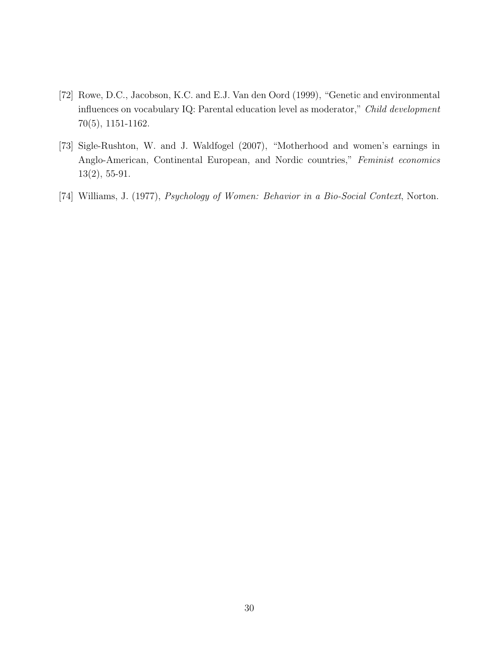- [72] Rowe, D.C., Jacobson, K.C. and E.J. Van den Oord (1999), "Genetic and environmental influences on vocabulary IQ: Parental education level as moderator," Child development 70(5), 1151-1162.
- [73] Sigle-Rushton, W. and J. Waldfogel (2007), "Motherhood and women's earnings in Anglo-American, Continental European, and Nordic countries," Feminist economics 13(2), 55-91.
- [74] Williams, J. (1977), Psychology of Women: Behavior in a Bio-Social Context, Norton.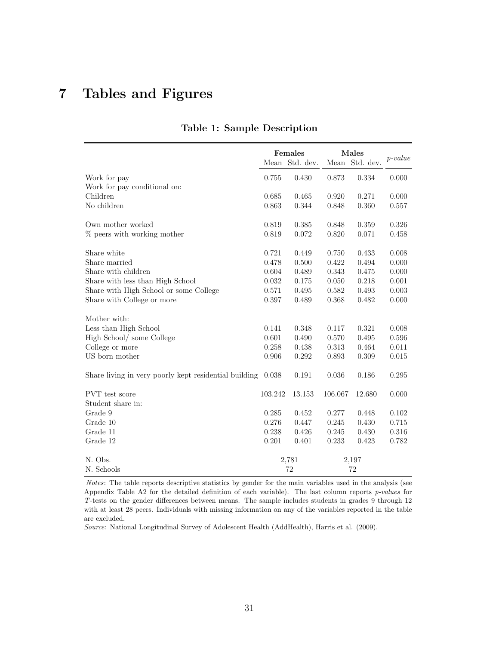# 7 Tables and Figures

### Table 1: Sample Description

|                                                             |           | Females<br>Mean Std. dev. |           | Males<br>Mean Std. dev. | $p-value$ |
|-------------------------------------------------------------|-----------|---------------------------|-----------|-------------------------|-----------|
| Work for pay                                                | 0.755     | 0.430                     | 0.873     | 0.334                   | 0.000     |
| Work for pay conditional on:                                |           |                           |           |                         |           |
| Children                                                    | 0.685     | 0.465                     | 0.920     | 0.271                   | 0.000     |
| No children                                                 | 0.863     | 0.344                     | 0.848     | 0.360                   | 0.557     |
|                                                             |           |                           |           |                         |           |
| Own mother worked                                           | 0.819     | 0.385                     | 0.848     | 0.359                   | 0.326     |
| % peers with working mother                                 | 0.819     | 0.072                     | 0.820     | 0.071                   | 0.458     |
| Share white                                                 | 0.721     | 0.449                     | 0.750     | 0.433                   | 0.008     |
| Share married                                               | 0.478     | 0.500                     | 0.422     | 0.494                   | 0.000     |
| Share with children                                         | 0.604     | 0.489                     | 0.343     | 0.475                   | 0.000     |
| Share with less than High School                            | 0.032     | 0.175                     | $0.050\,$ | 0.218                   | 0.001     |
| Share with High School or some College                      | 0.571     | 0.495                     | 0.582     | 0.493                   | 0.003     |
| Share with College or more                                  | $0.397\,$ | 0.489                     | 0.368     | 0.482                   | 0.000     |
| Mother with:                                                |           |                           |           |                         |           |
| Less than High School                                       | 0.141     | 0.348                     | 0.117     | 0.321                   | 0.008     |
|                                                             | 0.601     | 0.490                     | $0.570\,$ | 0.495                   | $0.596\,$ |
| High School/some College                                    | 0.258     | 0.438                     | 0.313     | 0.464                   | 0.011     |
| College or more<br>US born mother                           | 0.906     | 0.292                     | 0.893     | 0.309                   | 0.015     |
|                                                             |           |                           |           |                         |           |
| Share living in very poorly kept residential building 0.038 |           | 0.191                     | 0.036     | 0.186                   | 0.295     |
| PVT test score                                              | 103.242   | 13.153                    | 106.067   | 12.680                  | 0.000     |
| Student share in:                                           |           |                           |           |                         |           |
| Grade 9                                                     | 0.285     | 0.452                     | 0.277     | 0.448                   | 0.102     |
| Grade 10                                                    | 0.276     | 0.447                     | 0.245     | 0.430                   | 0.715     |
| Grade 11                                                    | 0.238     | 0.426                     | 0.245     | 0.430                   | $0.316\,$ |
| Grade 12                                                    | 0.201     | 0.401                     | 0.233     | 0.423                   | 0.782     |
|                                                             |           |                           |           |                         |           |
| N. Obs.<br>N. Schools                                       |           | 2,781<br>72               |           | 2,197<br>72             |           |
|                                                             |           |                           |           |                         |           |

Notes: The table reports descriptive statistics by gender for the main variables used in the analysis (see Appendix Table A2 for the detailed definition of each variable). The last column reports p-values for T-tests on the gender differences between means. The sample includes students in grades 9 through 12 with at least 28 peers. Individuals with missing information on any of the variables reported in the table are excluded.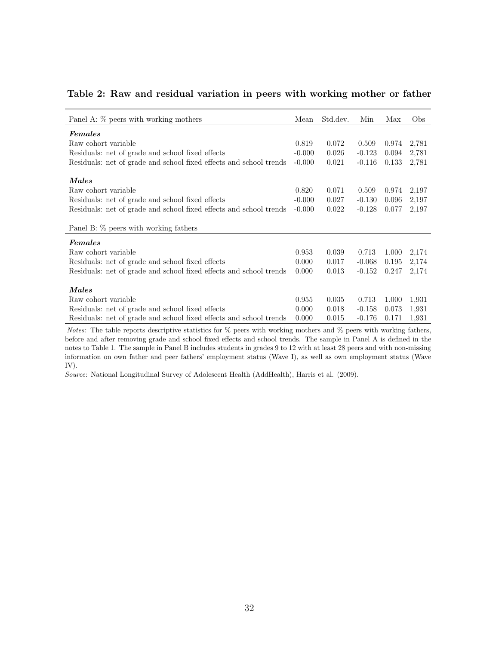| Panel A: % peers with working mothers                              | Mean     | Std.dev. | Min      | Max   | Obs   |
|--------------------------------------------------------------------|----------|----------|----------|-------|-------|
| Females                                                            |          |          |          |       |       |
| Raw cohort variable                                                | 0.819    | 0.072    | 0.509    | 0.974 | 2,781 |
| Residuals: net of grade and school fixed effects                   | $-0.000$ | 0.026    | $-0.123$ | 0.094 | 2,781 |
| Residuals: net of grade and school fixed effects and school trends | $-0.000$ | 0.021    | $-0.116$ | 0.133 | 2,781 |
| Males                                                              |          |          |          |       |       |
| Raw cohort variable                                                | 0.820    | 0.071    | 0.509    | 0.974 | 2,197 |
| Residuals: net of grade and school fixed effects                   | $-0.000$ | 0.027    | $-0.130$ | 0.096 | 2,197 |
| Residuals: net of grade and school fixed effects and school trends | $-0.000$ | 0.022    | $-0.128$ | 0.077 | 2,197 |
|                                                                    |          |          |          |       |       |
| Panel B: % peers with working fathers                              |          |          |          |       |       |
| Females                                                            |          |          |          |       |       |
| Raw cohort variable                                                | 0.953    | 0.039    | 0.713    | 1.000 | 2,174 |
| Residuals: net of grade and school fixed effects                   | 0.000    | 0.017    | $-0.068$ | 0.195 | 2,174 |
| Residuals: net of grade and school fixed effects and school trends | 0.000    | 0.013    | $-0.152$ | 0.247 | 2,174 |
|                                                                    |          |          |          |       |       |
| <b>Males</b>                                                       |          |          |          |       |       |
| Raw cohort variable                                                | 0.955    | 0.035    | 0.713    | 1.000 | 1,931 |
| Residuals: net of grade and school fixed effects                   | 0.000    | 0.018    | $-0.158$ | 0.073 | 1,931 |
| Residuals: net of grade and school fixed effects and school trends | 0.000    | 0.015    | $-0.176$ | 0.171 | 1,931 |

### Table 2: Raw and residual variation in peers with working mother or father

Notes: The table reports descriptive statistics for % peers with working mothers and % peers with working fathers, before and after removing grade and school fixed effects and school trends. The sample in Panel A is defined in the notes to Table 1. The sample in Panel B includes students in grades 9 to 12 with at least 28 peers and with non-missing information on own father and peer fathers' employment status (Wave I), as well as own employment status (Wave IV).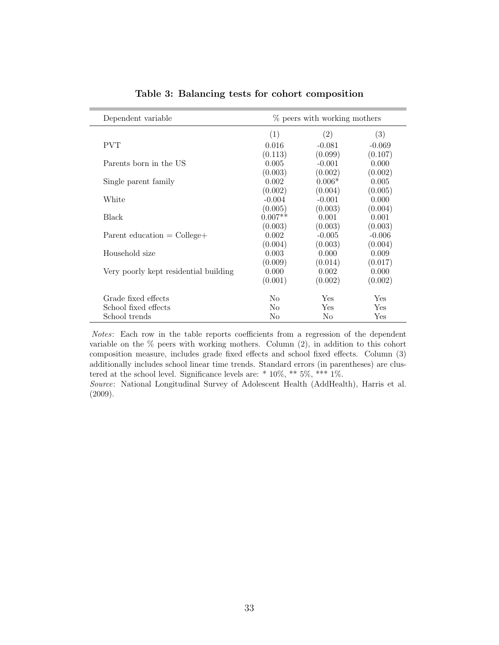| Dependent variable                    |                | % peers with working mothers |          |  |  |  |
|---------------------------------------|----------------|------------------------------|----------|--|--|--|
|                                       | (1)            | (2)                          | (3)      |  |  |  |
| <b>PVT</b>                            | 0.016          | $-0.081$                     | $-0.069$ |  |  |  |
|                                       | (0.113)        | (0.099)                      | (0.107)  |  |  |  |
| Parents born in the US                | 0.005          | $-0.001$                     | 0.000    |  |  |  |
|                                       | (0.003)        | (0.002)                      | (0.002)  |  |  |  |
| Single parent family                  | 0.002          | $0.006*$                     | 0.005    |  |  |  |
|                                       | (0.002)        | (0.004)                      | (0.005)  |  |  |  |
| White                                 | $-0.004$       | $-0.001$                     | 0.000    |  |  |  |
|                                       | (0.005)        | (0.003)                      | (0.004)  |  |  |  |
| Black                                 | $0.007**$      | 0.001                        | 0.001    |  |  |  |
|                                       | (0.003)        | (0.003)                      | (0.003)  |  |  |  |
| Parent education $=$ College $+$      | 0.002          | $-0.005$                     | $-0.006$ |  |  |  |
|                                       | (0.004)        | (0.003)                      | (0.004)  |  |  |  |
| Household size                        | 0.003          | 0.000                        | 0.009    |  |  |  |
|                                       | (0.009)        | (0.014)                      | (0.017)  |  |  |  |
| Very poorly kept residential building | 0.000          | 0.002                        | 0.000    |  |  |  |
|                                       | (0.001)        | (0.002)                      | (0.002)  |  |  |  |
| Grade fixed effects                   | N <sub>0</sub> | Yes                          | Yes      |  |  |  |
| School fixed effects                  | N <sub>o</sub> | Yes                          | Yes      |  |  |  |
| School trends                         | No             | No                           | Yes      |  |  |  |

Table 3: Balancing tests for cohort composition

Notes: Each row in the table reports coefficients from a regression of the dependent variable on the % peers with working mothers. Column (2), in addition to this cohort composition measure, includes grade fixed effects and school fixed effects. Column (3) additionally includes school linear time trends. Standard errors (in parentheses) are clustered at the school level. Significance levels are: \* 10%, \*\*\* 5%, \*\*\* 1%.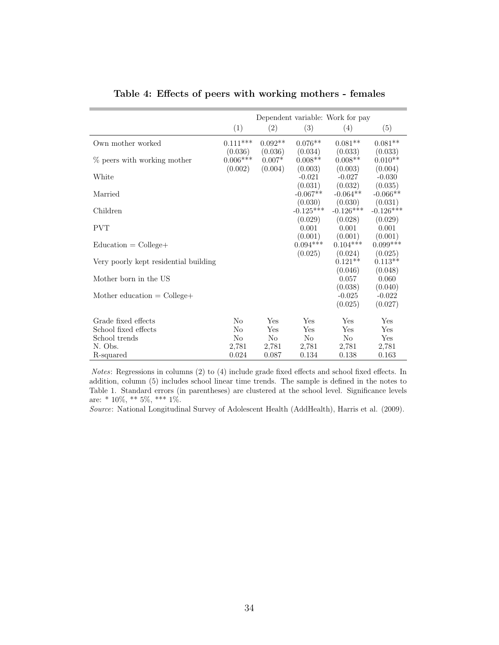|                                       |            |                |                     | Dependent variable: Work for pay |                     |
|---------------------------------------|------------|----------------|---------------------|----------------------------------|---------------------|
|                                       | (1)        | (2)            | (3)                 | (4)                              | (5)                 |
| Own mother worked                     | $0.111***$ | $0.092**$      | $0.076**$           | $0.081**$                        | $0.081**$           |
|                                       | (0.036)    | (0.036)        | (0.034)             | (0.033)                          | (0.033)             |
| % peers with working mother           | $0.006***$ | $0.007*$       | $0.008**$           | $0.008**$                        | $0.010**$           |
| White                                 | (0.002)    | (0.004)        | (0.003)<br>$-0.021$ | (0.003)<br>$-0.027$              | (0.004)<br>$-0.030$ |
|                                       |            |                | (0.031)             | (0.032)                          | (0.035)             |
| Married                               |            |                | $-0.067**$          | $-0.064**$                       | $-0.066**$          |
|                                       |            |                | (0.030)             | (0.030)                          | (0.031)             |
| Children                              |            |                | $-0.125***$         | $-0.126***$                      | $-0.126***$         |
|                                       |            |                | (0.029)             | (0.028)                          | (0.029)             |
| <b>PVT</b>                            |            |                | 0.001<br>(0.001)    | 0.001<br>(0.001)                 | 0.001<br>(0.001)    |
| $Education = College+$                |            |                | $0.094***$          | $0.104***$                       | $0.099***$          |
|                                       |            |                | (0.025)             | (0.024)                          | (0.025)             |
| Very poorly kept residential building |            |                |                     | $0.121**$                        | $0.113**$           |
|                                       |            |                |                     | (0.046)                          | (0.048)             |
| Mother born in the US                 |            |                |                     | 0.057                            | 0.060               |
|                                       |            |                |                     | (0.038)                          | (0.040)             |
| Mother education $=$ College $+$      |            |                |                     | $-0.025$<br>(0.025)              | $-0.022$<br>(0.027) |
|                                       |            |                |                     |                                  |                     |
| Grade fixed effects                   | No         | Yes            | Yes                 | Yes                              | Yes                 |
| School fixed effects                  | No         | Yes            | Yes                 | Yes                              | Yes                 |
| School trends                         | $\rm No$   | N <sub>o</sub> | No                  | N <sub>o</sub>                   | Yes                 |
| N. Obs.                               | 2,781      | 2,781          | 2,781               | 2,781                            | 2,781               |
| R-squared                             | 0.024      | 0.087          | 0.134               | 0.138                            | 0.163               |

Table 4: Effects of peers with working mothers - females

Notes: Regressions in columns (2) to (4) include grade fixed effects and school fixed effects. In addition, column (5) includes school linear time trends. The sample is defined in the notes to Table 1. Standard errors (in parentheses) are clustered at the school level. Significance levels are: \* 10%, \*\* 5%, \*\*\* 1%.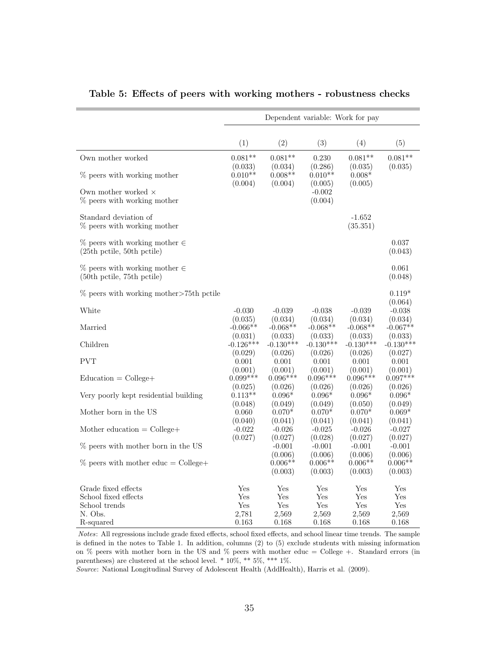|                                                                       | Dependent variable: Work for pay |                                 |                                 |                                 |                                 |  |
|-----------------------------------------------------------------------|----------------------------------|---------------------------------|---------------------------------|---------------------------------|---------------------------------|--|
|                                                                       |                                  |                                 |                                 |                                 |                                 |  |
|                                                                       | (1)                              | (2)                             | (3)                             | (4)                             | (5)                             |  |
| Own mother worked                                                     | $0.081**$                        | $0.081**$                       | 0.230                           | $0.081**$                       | $0.081**$                       |  |
| $%$ peers with working mother                                         | (0.033)<br>$0.010**$<br>(0.004)  | (0.034)<br>$0.008**$<br>(0.004) | (0.286)<br>$0.010**$<br>(0.005) | (0.035)<br>$0.008*$<br>(0.005)  | (0.035)                         |  |
| Own mother worked $\times$<br>% peers with working mother             |                                  |                                 | $-0.002$<br>(0.004)             |                                 |                                 |  |
| Standard deviation of<br>$%$ peers with working mother                |                                  |                                 |                                 | $-1.652$<br>(35.351)            |                                 |  |
| $\%$ peers with working mother $\in$<br>$(25th)$ pctile, 50th pctile) |                                  |                                 |                                 |                                 | 0.037<br>(0.043)                |  |
| $\%$ peers with working mother $\in$<br>(50th pctile, 75th pctile)    |                                  |                                 |                                 |                                 | 0.061<br>(0.048)                |  |
| $\%$ peers with working mother >75th pctile                           |                                  |                                 |                                 |                                 | $0.119*$                        |  |
| White                                                                 | $-0.030$                         | $-0.039$                        | $-0.038$                        | $-0.039$                        | (0.064)<br>$-0.038$             |  |
| Married                                                               | (0.035)<br>$-0.066**$            | (0.034)<br>$-0.068**$           | (0.034)<br>$-0.068**$           | (0.034)<br>$-0.068**$           | (0.034)<br>$-0.067**$           |  |
| Children                                                              | (0.031)<br>$-0.126***$           | (0.033)<br>$-0.130***$          | (0.033)<br>$-0.130***$          | (0.033)<br>$-0.130***$          | (0.033)<br>$-0.130***$          |  |
| <b>PVT</b>                                                            | (0.029)<br>0.001                 | (0.026)<br>0.001                | (0.026)<br>0.001                | (0.026)<br>0.001                | (0.027)<br>0.001                |  |
| $Education = College +$                                               | (0.001)<br>$0.099***$            | (0.001)<br>$0.096***$           | (0.001)<br>$0.096***$           | (0.001)<br>$0.096***$           | (0.001)<br>$0.097***$           |  |
| Very poorly kept residential building                                 | (0.025)<br>$0.113**$             | (0.026)<br>$0.096*$             | (0.026)<br>$0.096*$             | (0.026)<br>$0.096*$             | (0.026)<br>$0.096*$             |  |
| Mother born in the US                                                 | (0.048)<br>0.060                 | (0.049)<br>$0.070*$             | (0.049)<br>$0.070*$             | (0.050)<br>$0.070*$             | (0.049)<br>$0.069*$             |  |
| Mother education $=$ College $+$                                      | (0.040)<br>$-0.022$              | (0.041)<br>$-0.026$             | (0.041)<br>$-0.025$             | (0.041)<br>$-0.026$             | (0.041)<br>$-0.027$             |  |
| $%$ peers with mother born in the US                                  | (0.027)                          | (0.027)<br>$-0.001$             | (0.028)<br>$-0.001$             | (0.027)<br>$-0.001$             | (0.027)<br>$-0.001$             |  |
| $\%$ peers with mother educ = College+                                |                                  | (0.006)<br>$0.006**$<br>(0.003) | (0.006)<br>$0.006**$<br>(0.003) | (0.006)<br>$0.006**$<br>(0.003) | (0.006)<br>$0.006**$<br>(0.003) |  |
| Grade fixed effects                                                   | Yes                              | Yes                             | Yes                             | Yes                             | Yes                             |  |
| School fixed effects                                                  | Yes                              | Yes                             | Yes                             | Yes                             | Yes                             |  |
| School trends<br>N. Obs.                                              | Yes                              | Yes                             | Yes                             | Yes                             | Yes                             |  |
| R-squared                                                             | 2,781<br>0.163                   | 2,569<br>0.168                  | 2,569<br>0.168                  | 2,569<br>0.168                  | 2,569<br>0.168                  |  |

### Table 5: Effects of peers with working mothers - robustness checks

Notes: All regressions include grade fixed effects, school fixed effects, and school linear time trends. The sample is defined in the notes to Table 1. In addition, columns (2) to (5) exclude students with missing information on % peers with mother born in the US and % peers with mother educ = College +. Standard errors (in parentheses) are clustered at the school level.  $* 10\%, ** 5\%, *** 1\%$ .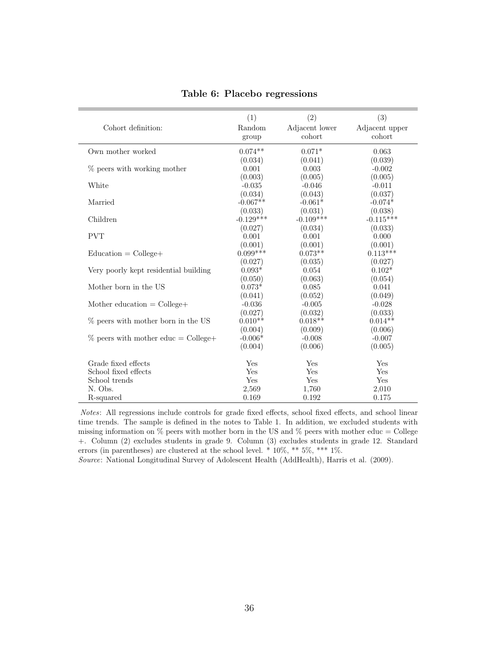|                                        | (1)         | (2)            | (3)            |
|----------------------------------------|-------------|----------------|----------------|
| Cohort definition:                     | Random      | Adjacent lower | Adjacent upper |
|                                        | group       | cohort         | cohort         |
|                                        |             |                |                |
| Own mother worked                      | $0.074**$   | $0.071*$       | 0.063          |
|                                        | (0.034)     | (0.041)        | (0.039)        |
| % peers with working mother            | 0.001       | 0.003          | $-0.002$       |
|                                        | (0.003)     | (0.005)        | (0.005)        |
| White                                  | $-0.035$    | $-0.046$       | $-0.011$       |
|                                        | (0.034)     | (0.043)        | (0.037)        |
| Married                                | $-0.067**$  | $-0.061*$      | $-0.074*$      |
|                                        | (0.033)     | (0.031)        | (0.038)        |
| Children                               | $-0.129***$ | $-0.109***$    | $-0.115***$    |
|                                        | (0.027)     | (0.034)        | (0.033)        |
| <b>PVT</b>                             | 0.001       | 0.001          | 0.000          |
|                                        | (0.001)     | (0.001)        | (0.001)        |
| $Education = College+$                 | $0.099***$  | $0.073**$      | $0.113***$     |
|                                        | (0.027)     | (0.035)        | (0.027)        |
| Very poorly kept residential building  | $0.093*$    | 0.054          | $0.102*$       |
|                                        | (0.050)     | (0.063)        | (0.054)        |
| Mother born in the US                  | $0.073*$    | 0.085          | 0.041          |
|                                        | (0.041)     | (0.052)        | (0.049)        |
| Mother education $=$ College $+$       | $-0.036$    | $-0.005$       | $-0.028$       |
|                                        | (0.027)     | (0.032)        | (0.033)        |
| $\%$ peers with mother born in the US  | $0.010**$   | $0.018**$      | $0.014**$      |
|                                        | (0.004)     | (0.009)        | (0.006)        |
| $\%$ peers with mother educ = College+ | $-0.006*$   | $-0.008$       | $-0.007$       |
|                                        | (0.004)     | (0.006)        | (0.005)        |
|                                        |             |                |                |
| Grade fixed effects                    | Yes         | Yes            | Yes            |
| School fixed effects                   | Yes         | Yes            | Yes            |
| School trends                          | Yes         | Yes            | Yes            |
| N. Obs.                                | 2,569       | 1,760          | 2,010          |
| R-squared                              | 0.169       | 0.192          | 0.175          |

### Table 6: Placebo regressions

Notes: All regressions include controls for grade fixed effects, school fixed effects, and school linear time trends. The sample is defined in the notes to Table 1. In addition, we excluded students with missing information on  $\%$  peers with mother born in the US and  $\%$  peers with mother educ = College +. Column (2) excludes students in grade 9. Column (3) excludes students in grade 12. Standard errors (in parentheses) are clustered at the school level.  $* 10\%, ** 5\%, *** 1\%$ .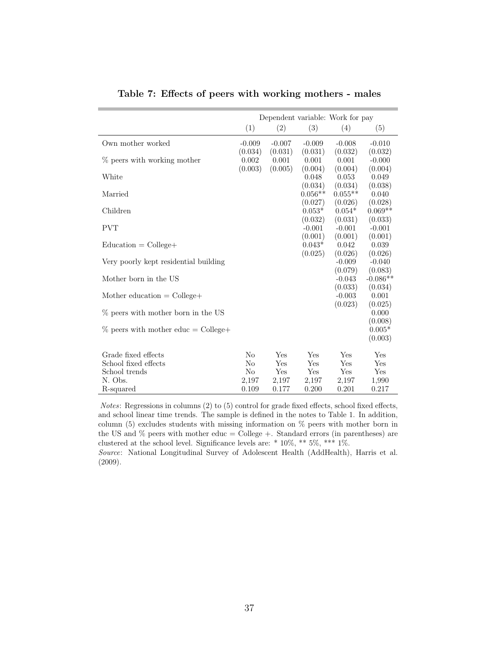|                                        | Dependent variable: Work for pay |                |                |                |                |
|----------------------------------------|----------------------------------|----------------|----------------|----------------|----------------|
|                                        | (1)                              | (2)            | (3)            | (4)            | (5)            |
| Own mother worked                      | $-0.009$                         | $-0.007$       | $-0.009$       | $-0.008$       | $-0.010$       |
|                                        | (0.034)                          | (0.031)        | (0.031)        | (0.032)        | (0.032)        |
| % peers with working mother            | 0.002                            | 0.001          | 0.001          | 0.001          | $-0.000$       |
|                                        | (0.003)                          | (0.005)        | (0.004)        | (0.004)        | (0.004)        |
| White                                  |                                  |                | 0.048          | 0.053          | 0.049          |
|                                        |                                  |                | (0.034)        | (0.034)        | (0.038)        |
| Married                                |                                  |                | $0.056**$      | $0.055**$      | 0.040          |
|                                        |                                  |                | (0.027)        | (0.026)        | (0.028)        |
| Children                               |                                  |                | $0.053*$       | $0.054*$       | $0.069**$      |
|                                        |                                  |                | (0.032)        | (0.031)        | (0.033)        |
| <b>PVT</b>                             |                                  |                | $-0.001$       | $-0.001$       | $-0.001$       |
|                                        |                                  |                | (0.001)        | (0.001)        | (0.001)        |
| $Education = College +$                |                                  |                | $0.043*$       | 0.042          | 0.039          |
|                                        |                                  |                | (0.025)        | (0.026)        | (0.026)        |
| Very poorly kept residential building  |                                  |                |                | $-0.009$       | $-0.040$       |
|                                        |                                  |                |                | (0.079)        | (0.083)        |
| Mother born in the US                  |                                  |                |                | $-0.043$       | $-0.086**$     |
|                                        |                                  |                |                | (0.033)        | (0.034)        |
| Mother education $=$ College $+$       |                                  |                |                | $-0.003$       | 0.001          |
|                                        |                                  |                |                | (0.023)        | (0.025)        |
| % peers with mother born in the US     |                                  |                |                |                | 0.000          |
|                                        |                                  |                |                |                | (0.008)        |
| $\%$ peers with mother educ = College+ |                                  |                |                |                | $0.005*$       |
|                                        |                                  |                |                |                | (0.003)        |
| Grade fixed effects                    | No                               | Yes            | Yes            | Yes            | Yes            |
| School fixed effects                   | No                               | Yes            | Yes            | Yes            | Yes            |
| School trends                          | $\rm No$                         | Yes            | Yes            | Yes            | Yes            |
| N. Obs.                                |                                  |                |                |                |                |
|                                        | 2,197<br>0.109                   | 2,197<br>0.177 | 2,197<br>0.200 | 2,197<br>0.201 | 1,990<br>0.217 |
| R-squared                              |                                  |                |                |                |                |

Table 7: Effects of peers with working mothers - males

Notes: Regressions in columns (2) to (5) control for grade fixed effects, school fixed effects, and school linear time trends. The sample is defined in the notes to Table 1. In addition, column (5) excludes students with missing information on % peers with mother born in the US and % peers with mother educ = College +. Standard errors (in parentheses) are clustered at the school level. Significance levels are: \*  $10\%,$  \*\*  $5\%,$  \*\*\*  $1\%$ .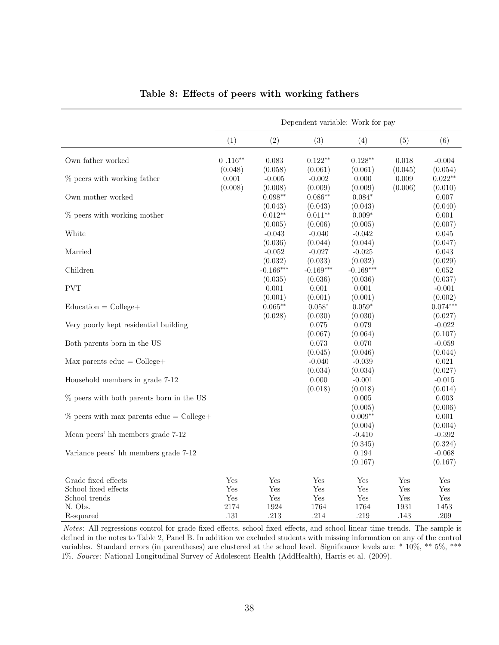|                                             | Dependent variable: Work for pay |                                |                                |                                |                  |                                  |
|---------------------------------------------|----------------------------------|--------------------------------|--------------------------------|--------------------------------|------------------|----------------------------------|
|                                             | (1)                              | (2)                            | (3)                            | (4)                            | (5)              | (6)                              |
| Own father worked                           | $0.116**$                        | 0.083                          | $0.122**$                      | $0.128**$                      | 0.018            | $-0.004$                         |
| $\%$ peers with working father              | (0.048)<br>0.001                 | (0.058)<br>$-0.005$            | (0.061)<br>$-0.002$            | (0.061)<br>0.000               | (0.045)<br>0.009 | (0.054)<br>$0.022**$             |
| Own mother worked                           | (0.008)                          | (0.008)<br>$0.098**$           | (0.009)<br>$0.086**$           | (0.009)<br>$0.084*$            | (0.006)          | (0.010)<br>0.007                 |
| % peers with working mother                 |                                  | (0.043)<br>$0.012**$           | (0.043)<br>$0.011**$           | (0.043)<br>$0.009*$            |                  | (0.040)<br>0.001                 |
| White                                       |                                  | (0.005)<br>$-0.043$<br>(0.036) | (0.006)<br>$-0.040$<br>(0.044) | (0.005)<br>$-0.042$<br>(0.044) |                  | (0.007)<br>0.045                 |
| Married                                     |                                  | $-0.052$<br>(0.032)            | $-0.027$<br>(0.033)            | $-0.025$<br>(0.032)            |                  | (0.047)<br>0.043<br>(0.029)      |
| Children                                    |                                  | $-0.166***$<br>(0.035)         | $-0.169***$<br>(0.036)         | $-0.169***$<br>(0.036)         |                  | 0.052<br>(0.037)                 |
| <b>PVT</b>                                  |                                  | 0.001<br>(0.001)               | 0.001<br>(0.001)               | 0.001<br>(0.001)               |                  | $-0.001$                         |
| $Education = College +$                     |                                  | $0.065**$<br>(0.028)           | $0.058*$<br>(0.030)            | $0.059*$<br>(0.030)            |                  | (0.002)<br>$0.074***$<br>(0.027) |
| Very poorly kept residential building       |                                  |                                | 0.075<br>(0.067)               | 0.079<br>(0.064)               |                  | $-0.022$<br>(0.107)              |
| Both parents born in the US                 |                                  |                                | 0.073<br>(0.045)               | 0.070<br>(0.046)               |                  | $-0.059$<br>(0.044)              |
| Max parents educ $=$ College $+$            |                                  |                                | $-0.040$<br>(0.034)            | $-0.039$<br>(0.034)            |                  | 0.021<br>(0.027)                 |
| Household members in grade 7-12             |                                  |                                | 0.000<br>(0.018)               | $-0.001$<br>(0.018)            |                  | $-0.015$<br>(0.014)              |
| $%$ peers with both parents born in the US  |                                  |                                |                                | 0.005<br>(0.005)               |                  | 0.003<br>(0.006)                 |
| $\%$ peers with max parents educ = College+ |                                  |                                |                                | $0.009**$<br>(0.004)           |                  | 0.001<br>(0.004)                 |
| Mean peers' hh members grade 7-12           |                                  |                                |                                | $-0.410$<br>(0.345)            |                  | $-0.392$<br>(0.324)              |
| Variance peers' hh members grade 7-12       |                                  |                                |                                | 0.194<br>(0.167)               |                  | $-0.068$<br>(0.167)              |
| Grade fixed effects<br>School fixed effects | Yes<br>Yes                       | Yes<br>Yes                     | Yes<br>Yes                     | Yes<br>Yes                     | Yes<br>Yes       | Yes<br>Yes                       |
| School trends                               | Yes                              | Yes                            | Yes                            | Yes                            | Yes              | Yes                              |
| N. Obs.                                     | 2174                             | 1924                           | 1764                           | 1764                           | 1931             | 1453                             |
| R-squared                                   | .131                             | .213                           | .214                           | .219                           | .143             | .209                             |

|  |  |  |  | Table 8: Effects of peers with working fathers |  |
|--|--|--|--|------------------------------------------------|--|
|--|--|--|--|------------------------------------------------|--|

Notes: All regressions control for grade fixed effects, school fixed effects, and school linear time trends. The sample is defined in the notes to Table 2, Panel B. In addition we excluded students with missing information on any of the control variables. Standard errors (in parentheses) are clustered at the school level. Significance levels are: \* 10%, \*\* 5%, \*\*\* 1%. Source: National Longitudinal Survey of Adolescent Health (AddHealth), Harris et al. (2009).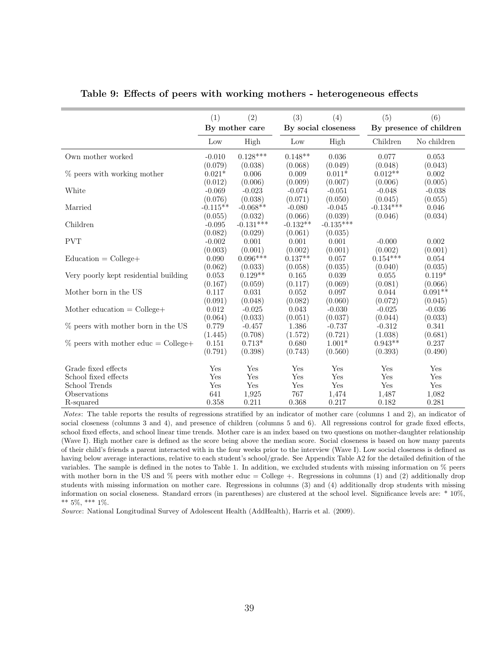|                                        | (1)        | (2)            | (3)        | (4)                 | (5)         | (6)                     |
|----------------------------------------|------------|----------------|------------|---------------------|-------------|-------------------------|
|                                        |            | By mother care |            | By social closeness |             | By presence of children |
|                                        | Low        | High           | Low        | High                | Children    | No children             |
| Own mother worked                      | $-0.010$   | $0.128***$     | $0.148**$  | 0.036               | 0.077       | 0.053                   |
|                                        | (0.079)    | (0.038)        | (0.068)    | (0.049)             | (0.048)     | (0.043)                 |
| $%$ peers with working mother          | $0.021*$   | 0.006          | 0.009      | $0.011*$            | $0.012**$   | 0.002                   |
|                                        | (0.012)    | (0.006)        | (0.009)    | (0.007)             | (0.006)     | (0.005)                 |
| White                                  | $-0.069$   | $-0.023$       | $-0.074$   | $-0.051$            | $-0.048$    | $-0.038$                |
|                                        | (0.076)    | (0.038)        | (0.071)    | (0.050)             | (0.045)     | (0.055)                 |
| Married                                | $-0.115**$ | $-0.068**$     | $-0.080$   | $-0.045$            | $-0.134***$ | 0.046                   |
|                                        | (0.055)    | (0.032)        | (0.066)    | (0.039)             | (0.046)     | (0.034)                 |
| Children                               | $-0.095$   | $-0.131***$    | $-0.132**$ | $-0.135***$         |             |                         |
|                                        | (0.082)    | (0.029)        | (0.061)    | (0.035)             |             |                         |
| <b>PVT</b>                             | $-0.002$   | 0.001          | 0.001      | 0.001               | $-0.000$    | 0.002                   |
|                                        | (0.003)    | (0.001)        | (0.002)    | (0.001)             | (0.002)     | (0.001)                 |
| $Education = College +$                | 0.090      | $0.096***$     | $0.137**$  | 0.057               | $0.154***$  | 0.054                   |
|                                        | (0.062)    | (0.033)        | (0.058)    | (0.035)             | (0.040)     | (0.035)                 |
| Very poorly kept residential building  | 0.053      | $0.129**$      | 0.165      | 0.039               | 0.055       | $0.119*$                |
|                                        | (0.167)    | (0.059)        | (0.117)    | (0.069)             | (0.081)     | (0.066)                 |
| Mother born in the US                  | 0.117      | 0.031          | 0.052      | 0.097               | 0.044       | $0.091**$               |
|                                        | (0.091)    | (0.048)        | (0.082)    | (0.060)             | (0.072)     | (0.045)                 |
| Mother education $=$ College $+$       | 0.012      | $-0.025$       | 0.043      | $-0.030$            | $-0.025$    | $-0.036$                |
|                                        | (0.064)    | (0.033)        | (0.051)    | (0.037)             | (0.044)     | (0.033)                 |
| $%$ peers with mother born in the US   | 0.779      | $-0.457$       | 1.386      | $-0.737$            | $-0.312$    | 0.341                   |
|                                        | (1.445)    | (0.708)        | (1.572)    | (0.721)             | (1.038)     | (0.681)                 |
| $\%$ peers with mother educ = College+ | 0.151      | $0.713*$       | 0.680      | $1.001*$            | $0.943**$   | 0.237                   |
|                                        | (0.791)    | (0.398)        | (0.743)    | (0.560)             | (0.393)     | (0.490)                 |
| Grade fixed effects                    | Yes        | Yes            | Yes        | Yes                 | Yes         | Yes                     |
| School fixed effects                   | Yes        | Yes            | Yes        | Yes                 | Yes         | Yes                     |
| School Trends                          | Yes        | Yes            | Yes        | Yes                 | Yes         | Yes                     |
| Observations                           | 641        | 1,925          | 767        | 1,474               | 1,487       | 1,082                   |
| R-squared                              | 0.358      | 0.211          | 0.368      | 0.217               | 0.182       | 0.281                   |

Table 9: Effects of peers with working mothers - heterogeneous effects

Notes: The table reports the results of regressions stratified by an indicator of mother care (columns 1 and 2), an indicator of social closeness (columns 3 and 4), and presence of children (columns 5 and 6). All regressions control for grade fixed effects, school fixed effects, and school linear time trends. Mother care is an index based on two questions on mother-daughter relationship (Wave I). High mother care is defined as the score being above the median score. Social closeness is based on how many parents of their child's friends a parent interacted with in the four weeks prior to the interview (Wave I). Low social closeness is defined as having below average interactions, relative to each student's school/grade. See Appendix Table A2 for the detailed definition of the variables. The sample is defined in the notes to Table 1. In addition, we excluded students with missing information on % peers with mother born in the US and  $\%$  peers with mother educ = College +. Regressions in columns (1) and (2) additionally drop students with missing information on mother care. Regressions in columns (3) and (4) additionally drop students with missing information on social closeness. Standard errors (in parentheses) are clustered at the school level. Significance levels are: \* 10%, \*\*  $5\%,$ \*\*\*  $1\%$ .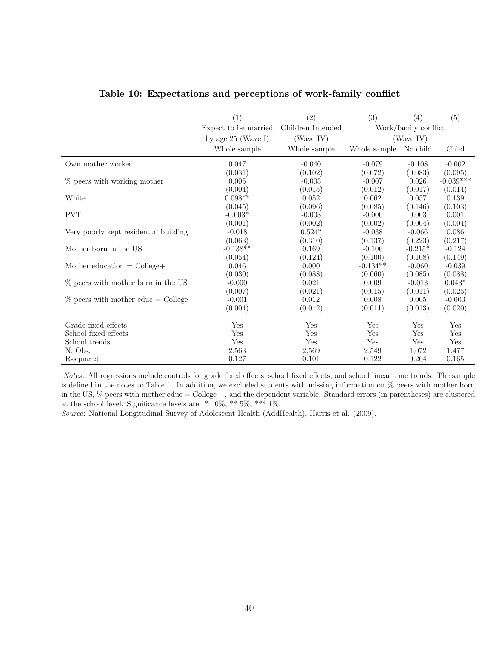|                                        | (1)                  | (2)               | (3)          | (4)                  | (5)         |  |
|----------------------------------------|----------------------|-------------------|--------------|----------------------|-------------|--|
|                                        | Expect to be married | Children Intended |              | Work/family conflict |             |  |
|                                        | by age $25$ (Wave I) | (Wave IV)         |              | (Wave IV)            |             |  |
|                                        | Whole sample         | Whole sample      | Whole sample | No child             | Child       |  |
| Own mother worked                      | 0.047                | $-0.040$          | $-0.079$     | $-0.108$             | $-0.002$    |  |
|                                        | (0.031)              | (0.102)           | (0.072)      | (0.083)              | (0.095)     |  |
| $%$ peers with working mother          | 0.005                | $-0.003$          | $-0.007$     | 0.026                | $-0.039***$ |  |
|                                        | (0.004)              | (0.015)           | (0.012)      | (0.017)              | (0.014)     |  |
| White                                  | $0.098**$            | 0.052             | 0.062        | 0.057                | 0.139       |  |
|                                        | (0.045)              | (0.096)           | (0.085)      | (0.146)              | (0.103)     |  |
| <b>PVT</b>                             | $-0.003*$            | $-0.003$          | $-0.000$     | 0.003                | 0.001       |  |
|                                        | (0.001)              | (0.002)           | (0.002)      | (0.004)              | (0.004)     |  |
| Very poorly kept residential building  | $-0.018$             | $0.524*$          | $-0.038$     | $-0.066$             | 0.086       |  |
|                                        | (0.063)              | (0.310)           | (0.137)      | (0.223)              | (0.217)     |  |
| Mother born in the US                  | $-0.138**$           | 0.169             | $-0.106$     | $-0.215*$            | $-0.124$    |  |
|                                        | (0.054)              | (0.124)           | (0.100)      | (0.108)              | (0.149)     |  |
| Mother education $=$ College $+$       | 0.046                | 0.000             | $-0.134**$   | $-0.060$             | $-0.039$    |  |
|                                        | (0.030)              | (0.088)           | (0.060)      | (0.085)              | (0.088)     |  |
| % peers with mother born in the US     | $-0.000$             | 0.021             | 0.009        | $-0.013$             | $0.043*$    |  |
|                                        | (0.007)              | (0.021)           | (0.015)      | (0.011)              | (0.025)     |  |
| $\%$ peers with mother educ = College+ | $-0.001$             | 0.012             | 0.008        | 0.005                | $-0.003$    |  |
|                                        | (0.004)              | (0.012)           | (0.011)      | (0.013)              | (0.020)     |  |
|                                        |                      |                   |              |                      |             |  |
| Grade fixed effects                    | Yes                  | Yes               | Yes          | Yes                  | Yes         |  |
| School fixed effects                   | Yes                  | Yes               | Yes          | Yes                  | Yes         |  |
| School trends                          | Yes                  | Yes               | Yes          | Yes                  | Yes         |  |
| N. Obs.                                | 2,563                | 2,569             | 2,549        | 1,072                | 1,477       |  |
| R-squared                              | 0.127                | 0.101             | 0.122        | 0.264                | 0.165       |  |
|                                        |                      |                   |              |                      |             |  |

### Table 10: Expectations and perceptions of work-family conflict

Notes: All regressions include controls for grade fixed effects, school fixed effects, and school linear time trends. The sample is defined in the notes to Table 1. In addition, we excluded students with missing information on % peers with mother born in the US, % peers with mother educ = College +, and the dependent variable. Standard errors (in parentheses) are clustered at the school level. Significance levels are: \* 10%, \*\* 5%, \*\*\* 1%.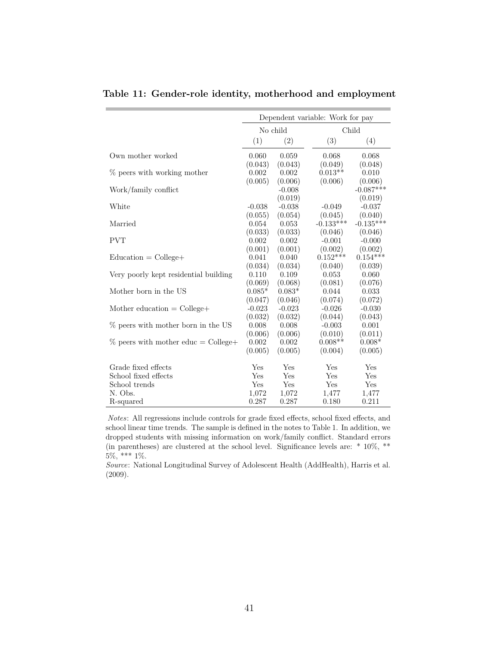|                                        | Dependent variable: Work for pay |          |             |             |  |
|----------------------------------------|----------------------------------|----------|-------------|-------------|--|
|                                        |                                  | No child |             | Child       |  |
|                                        | (1)                              | (2)      | (3)         | (4)         |  |
| Own mother worked                      | 0.060                            | 0.059    | 0.068       | 0.068       |  |
|                                        | (0.043)                          | (0.043)  | (0.049)     | (0.048)     |  |
| % peers with working mother            | 0.002                            | 0.002    | $0.013**$   | 0.010       |  |
|                                        | (0.005)                          | (0.006)  | (0.006)     | (0.006)     |  |
| Work/family conflict                   |                                  | $-0.008$ |             | $-0.087***$ |  |
|                                        |                                  | (0.019)  |             | (0.019)     |  |
| White                                  | $-0.038$                         | $-0.038$ | $-0.049$    | $-0.037$    |  |
|                                        | (0.055)                          | (0.054)  | (0.045)     | (0.040)     |  |
| Married                                | 0.054                            | 0.053    | $-0.133***$ | $-0.135***$ |  |
|                                        | (0.033)                          | (0.033)  | (0.046)     | (0.046)     |  |
| <b>PVT</b>                             | 0.002                            | 0.002    | $-0.001$    | $-0.000$    |  |
|                                        | (0.001)                          | (0.001)  | (0.002)     | (0.002)     |  |
| $Eductation = College+$                | 0.041                            | 0.040    | $0.152***$  | $0.154***$  |  |
|                                        | (0.034)                          | (0.034)  | (0.040)     | (0.039)     |  |
| Very poorly kept residential building  | 0.110                            | 0.109    | 0.053       | 0.060       |  |
|                                        | (0.069)                          | (0.068)  | (0.081)     | (0.076)     |  |
| Mother born in the US                  | $0.085*$                         | $0.083*$ | 0.044       | 0.033       |  |
|                                        | (0.047)                          | (0.046)  | (0.074)     | (0.072)     |  |
| Mother education $=$ College $+$       | $-0.023$                         | $-0.023$ | $-0.026$    | $-0.030$    |  |
|                                        | (0.032)                          | (0.032)  | (0.044)     | (0.043)     |  |
| % peers with mother born in the US     | 0.008                            | 0.008    | $-0.003$    | 0.001       |  |
|                                        | (0.006)                          | (0.006)  | (0.010)     | (0.011)     |  |
| $\%$ peers with mother educ = College+ | 0.002                            | 0.002    | $0.008**$   | $0.008*$    |  |
|                                        | (0.005)                          | (0.005)  | (0.004)     | (0.005)     |  |
| Grade fixed effects                    | Yes                              | Yes      | Yes         | Yes         |  |
| School fixed effects                   | Yes                              | Yes      | Yes         | Yes         |  |
| School trends                          | Yes                              | Yes      | Yes         | Yes         |  |
| N. Obs.                                | 1,072                            | 1,072    | 1,477       | 1,477       |  |
| R-squared                              | 0.287                            | 0.287    | 0.180       | 0.211       |  |

Table 11: Gender-role identity, motherhood and employment

Notes: All regressions include controls for grade fixed effects, school fixed effects, and school linear time trends. The sample is defined in the notes to Table 1. In addition, we dropped students with missing information on work/family conflict. Standard errors (in parentheses) are clustered at the school level. Significance levels are: \* 10%, \*\*  $5\%,$ \*\*\* 1%.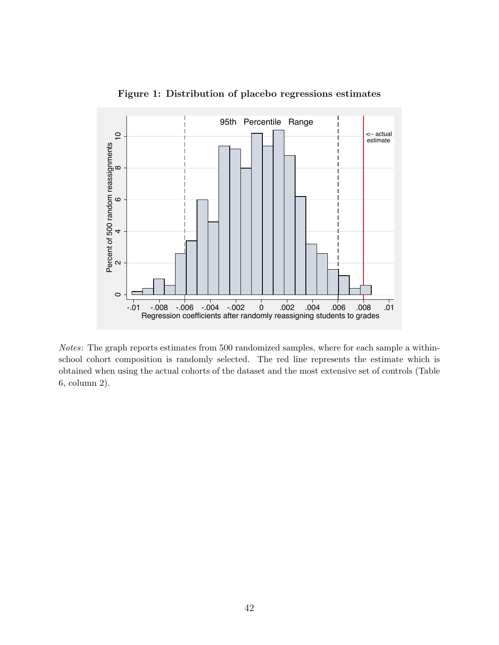

Figure 1: Distribution of placebo regressions estimates

Notes: The graph reports estimates from 500 randomized samples, where for each sample a withinschool cohort composition is randomly selected. The red line represents the estimate which is obtained when using the actual cohorts of the dataset and the most extensive set of controls (Table 6, column 2).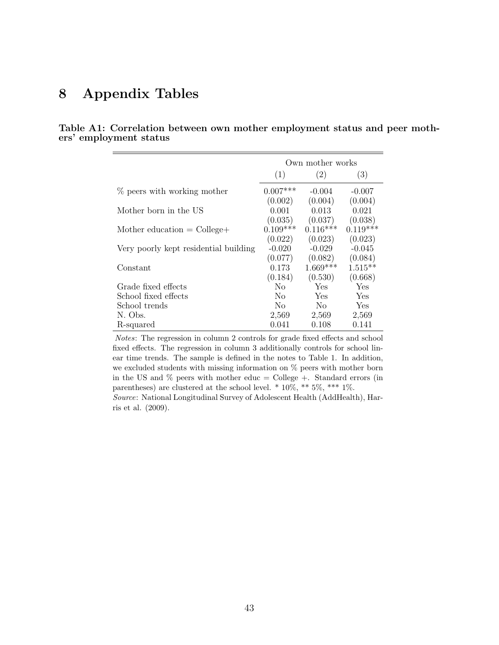# 8 Appendix Tables

### Table A1: Correlation between own mother employment status and peer mothers' employment status

|                                       |                     | Own mother works      |                      |
|---------------------------------------|---------------------|-----------------------|----------------------|
|                                       | (1)                 | (2)                   | (3)                  |
| % peers with working mother           | $0.007***$          | $-0.004$              | $-0.007$             |
| Mother born in the US                 | (0.002)<br>0.001    | (0.004)<br>0.013      | (0.004)<br>0.021     |
|                                       | (0.035)             | (0.037)               | (0.038)              |
| Mother education $=$ College $+$      | $0.109***$          | $0.116***$            | $0.119***$           |
| Very poorly kept residential building | (0.022)<br>$-0.020$ | (0.023)<br>$-0.029$   | (0.023)<br>$-0.045$  |
|                                       | (0.077)             | (0.082)               | (0.084)              |
| Constant                              | 0.173<br>(0.184)    | $1.669***$<br>(0.530) | $1.515**$<br>(0.668) |
| Grade fixed effects                   | No                  | Yes                   | Yes                  |
| School fixed effects                  | No.                 | Yes.                  | <b>Yes</b>           |
| School trends                         | No                  | No.                   | <b>Yes</b>           |
| N. Obs.                               | 2,569               | 2,569                 | 2,569                |
| R-squared                             | 0.041               | 0.108                 | 0.141                |

Notes: The regression in column 2 controls for grade fixed effects and school fixed effects. The regression in column 3 additionally controls for school linear time trends. The sample is defined in the notes to Table 1. In addition, we excluded students with missing information on % peers with mother born in the US and  $\%$  peers with mother educ = College +. Standard errors (in parentheses) are clustered at the school level.  $* 10\%, ** 5\%, *** 1\%$ .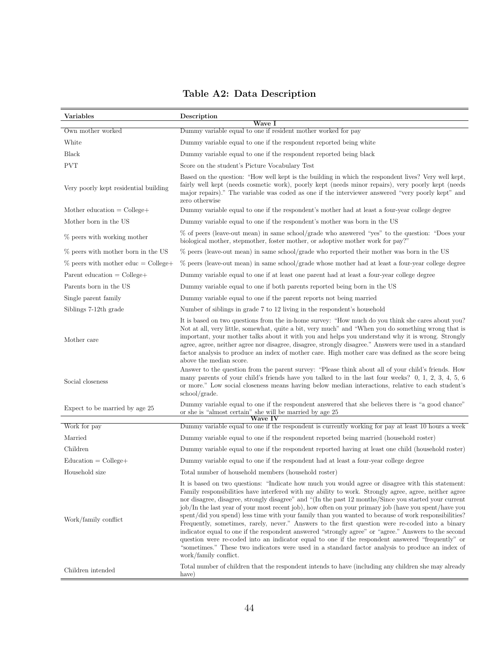### Table A2: Data Description

| <b>Variables</b>                       | Description                                                                                                                                                                                                                                                                                                                                                                                                                                                                                                                                                                                                                                                                                                                                                                                                                                                                                                                                                                       |
|----------------------------------------|-----------------------------------------------------------------------------------------------------------------------------------------------------------------------------------------------------------------------------------------------------------------------------------------------------------------------------------------------------------------------------------------------------------------------------------------------------------------------------------------------------------------------------------------------------------------------------------------------------------------------------------------------------------------------------------------------------------------------------------------------------------------------------------------------------------------------------------------------------------------------------------------------------------------------------------------------------------------------------------|
| Own mother worked                      | Wave I<br>Dummy variable equal to one if resident mother worked for pay                                                                                                                                                                                                                                                                                                                                                                                                                                                                                                                                                                                                                                                                                                                                                                                                                                                                                                           |
| White                                  | Dummy variable equal to one if the respondent reported being white                                                                                                                                                                                                                                                                                                                                                                                                                                                                                                                                                                                                                                                                                                                                                                                                                                                                                                                |
| Black                                  | Dummy variable equal to one if the respondent reported being black                                                                                                                                                                                                                                                                                                                                                                                                                                                                                                                                                                                                                                                                                                                                                                                                                                                                                                                |
| <b>PVT</b>                             | Score on the student's Picture Vocabulary Test                                                                                                                                                                                                                                                                                                                                                                                                                                                                                                                                                                                                                                                                                                                                                                                                                                                                                                                                    |
|                                        | Based on the question: "How well kept is the building in which the respondent lives? Very well kept,                                                                                                                                                                                                                                                                                                                                                                                                                                                                                                                                                                                                                                                                                                                                                                                                                                                                              |
| Very poorly kept residential building  | fairly well kept (needs cosmetic work), poorly kept (needs minor repairs), very poorly kept (needs<br>major repairs)." The variable was coded as one if the interviewer answered "very poorly kept" and<br>zero otherwise                                                                                                                                                                                                                                                                                                                                                                                                                                                                                                                                                                                                                                                                                                                                                         |
| Mother education $=$ College $+$       | Dummy variable equal to one if the respondent's mother had at least a four-year college degree                                                                                                                                                                                                                                                                                                                                                                                                                                                                                                                                                                                                                                                                                                                                                                                                                                                                                    |
| Mother born in the US                  | Dummy variable equal to one if the respondent's mother was born in the US                                                                                                                                                                                                                                                                                                                                                                                                                                                                                                                                                                                                                                                                                                                                                                                                                                                                                                         |
| % peers with working mother            | % of peers (leave-out mean) in same school/grade who answered "yes" to the question: "Does your<br>biological mother, stepmother, foster mother, or adoptive mother work for pay?"                                                                                                                                                                                                                                                                                                                                                                                                                                                                                                                                                                                                                                                                                                                                                                                                |
| % peers with mother born in the US     | % peers (leave-out mean) in same school/grade who reported their mother was born in the US                                                                                                                                                                                                                                                                                                                                                                                                                                                                                                                                                                                                                                                                                                                                                                                                                                                                                        |
| $\%$ peers with mother educ = College+ | % peers (leave-out mean) in same school/grade whose mother had at least a four-year college degree                                                                                                                                                                                                                                                                                                                                                                                                                                                                                                                                                                                                                                                                                                                                                                                                                                                                                |
| Parent education $=$ College $+$       | Dummy variable equal to one if at least one parent had at least a four-year college degree                                                                                                                                                                                                                                                                                                                                                                                                                                                                                                                                                                                                                                                                                                                                                                                                                                                                                        |
| Parents born in the US                 | Dummy variable equal to one if both parents reported being born in the US                                                                                                                                                                                                                                                                                                                                                                                                                                                                                                                                                                                                                                                                                                                                                                                                                                                                                                         |
| Single parent family                   | Dummy variable equal to one if the parent reports not being married                                                                                                                                                                                                                                                                                                                                                                                                                                                                                                                                                                                                                                                                                                                                                                                                                                                                                                               |
| Siblings 7-12th grade                  | Number of siblings in grade 7 to 12 living in the respondent's household                                                                                                                                                                                                                                                                                                                                                                                                                                                                                                                                                                                                                                                                                                                                                                                                                                                                                                          |
| Mother care                            | It is based on two questions from the in-home survey: "How much do you think she cares about you?"<br>Not at all, very little, somewhat, quite a bit, very much" and "When you do something wrong that is<br>important, your mother talks about it with you and helps you understand why it is wrong. Strongly<br>agree, agree, neither agree nor disagree, disagree, strongly disagree." Answers were used in a standard<br>factor analysis to produce an index of mother care. High mother care was defined as the score being<br>above the median score.                                                                                                                                                                                                                                                                                                                                                                                                                       |
| Social closeness                       | Answer to the question from the parent survey: "Please think about all of your child's friends. How<br>many parents of your child's friends have you talked to in the last four weeks? 0, 1, 2, 3, 4, 5, 6<br>or more." Low social closeness means having below median interactions, relative to each student's<br>school/grade.                                                                                                                                                                                                                                                                                                                                                                                                                                                                                                                                                                                                                                                  |
| Expect to be married by age 25         | Dummy variable equal to one if the respondent answered that she believes there is "a good chance"<br>or she is "almost certain" she will be married by age 25                                                                                                                                                                                                                                                                                                                                                                                                                                                                                                                                                                                                                                                                                                                                                                                                                     |
| Work for pay                           | Wave IV<br>Dummy variable equal to one if the respondent is currently working for pay at least 10 hours a week                                                                                                                                                                                                                                                                                                                                                                                                                                                                                                                                                                                                                                                                                                                                                                                                                                                                    |
| Married                                | Dummy variable equal to one if the respondent reported being married (household roster)                                                                                                                                                                                                                                                                                                                                                                                                                                                                                                                                                                                                                                                                                                                                                                                                                                                                                           |
| Children                               | Dummy variable equal to one if the respondent reported having at least one child (household roster)                                                                                                                                                                                                                                                                                                                                                                                                                                                                                                                                                                                                                                                                                                                                                                                                                                                                               |
| $Education = College +$                | Dummy variable equal to one if the respondent had at least a four-year college degree                                                                                                                                                                                                                                                                                                                                                                                                                                                                                                                                                                                                                                                                                                                                                                                                                                                                                             |
| Household size                         | Total number of household members (household roster)                                                                                                                                                                                                                                                                                                                                                                                                                                                                                                                                                                                                                                                                                                                                                                                                                                                                                                                              |
| Work/family conflict                   | It is based on two questions: "Indicate how much you would agree or disagree with this statement:<br>Family responsibilities have interfered with my ability to work. Strongly agree, agree, neither agree<br>nor disagree, disagree, strongly disagree" and "(In the past 12 months/Since you started your current<br>job/In the last year of your most recent job), how often on your primary job (have you spent/have you<br>spent/did you spend) less time with your family than you wanted to because of work responsibilities?<br>Frequently, sometimes, rarely, never." Answers to the first question were re-coded into a binary<br>indicator equal to one if the respondent answered "strongly agree" or "agree." Answers to the second<br>question were re-coded into an indicator equal to one if the respondent answered "frequently" or<br>"sometimes." These two indicators were used in a standard factor analysis to produce an index of<br>work/family conflict. |
| Children intended                      | Total number of children that the respondent intends to have (including any children she may already<br>have)                                                                                                                                                                                                                                                                                                                                                                                                                                                                                                                                                                                                                                                                                                                                                                                                                                                                     |